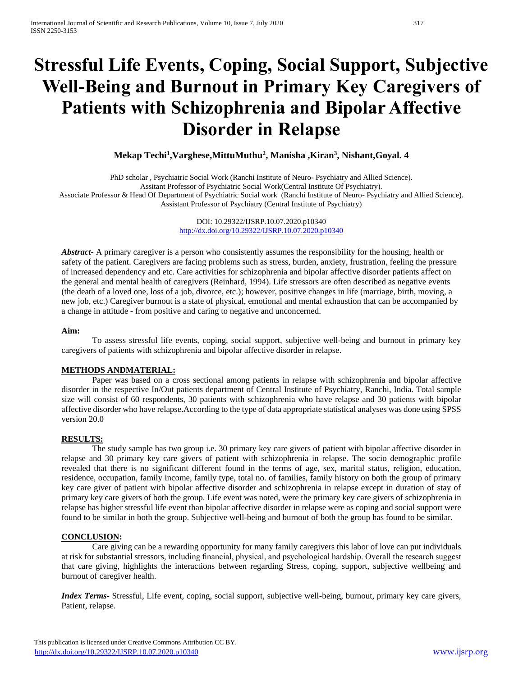# **Stressful Life Events, Coping, Social Support, Subjective Well-Being and Burnout in Primary Key Caregivers of Patients with Schizophrenia and Bipolar Affective Disorder in Relapse**

**Mekap Techi<sup>1</sup> ,Varghese,MittuMuthu<sup>2</sup> , Manisha ,Kiran<sup>3</sup> , Nishant,Goyal. 4**

PhD scholar , Psychiatric Social Work (Ranchi Institute of Neuro- Psychiatry and Allied Science). Assitant Professor of Psychiatric Social Work(Central Institute Of Psychiatry). Associate Professor & Head Of Department of Psychiatric Social work (Ranchi Institute of Neuro- Psychiatry and Allied Science). Assistant Professor of Psychiatry (Central Institute of Psychiatry)

> DOI: 10.29322/IJSRP.10.07.2020.p10340 <http://dx.doi.org/10.29322/IJSRP.10.07.2020.p10340>

*Abstract***-** A primary caregiver is a person who consistently assumes the responsibility for the housing, health or safety of the patient. Caregivers are facing problems such as stress, burden, anxiety, frustration, feeling the pressure of increased dependency and etc. Care activities for schizophrenia and bipolar affective disorder patients affect on the general and mental health of caregivers (Reinhard, 1994). Life stressors are often described as negative events (the death of a loved one, loss of a job, divorce, etc.); however, positive changes in life (marriage, birth, moving, a new job, etc.) Caregiver burnout is a state of physical, emotional and mental exhaustion that can be accompanied by a change in attitude - from positive and caring to negative and unconcerned.

#### **Aim:**

To assess stressful life events, coping, social support, subjective well-being and burnout in primary key caregivers of patients with schizophrenia and bipolar affective disorder in relapse.

## **METHODS ANDMATERIAL:**

Paper was based on a cross sectional among patients in relapse with schizophrenia and bipolar affective disorder in the respective In/Out patients department of Central Institute of Psychiatry, Ranchi, India. Total sample size will consist of 60 respondents, 30 patients with schizophrenia who have relapse and 30 patients with bipolar affective disorder who have relapse.According to the type of data appropriate statistical analyses was done using SPSS version 20.0

## **RESULTS:**

The study sample has two group i.e. 30 primary key care givers of patient with bipolar affective disorder in relapse and 30 primary key care givers of patient with schizophrenia in relapse. The socio demographic profile revealed that there is no significant different found in the terms of age, sex, marital status, religion, education, residence, occupation, family income, family type, total no. of families, family history on both the group of primary key care giver of patient with bipolar affective disorder and schizophrenia in relapse except in duration of stay of primary key care givers of both the group. Life event was noted, were the primary key care givers of schizophrenia in relapse has higher stressful life event than bipolar affective disorder in relapse were as coping and social support were found to be similar in both the group. Subjective well-being and burnout of both the group has found to be similar.

## **CONCLUSION:**

Care giving can be a rewarding opportunity for many family caregivers this labor of love can put individuals at risk for substantial stressors, including financial, physical, and psychological hardship. Overall the research suggest that care giving, highlights the interactions between regarding Stress, coping, support, subjective wellbeing and burnout of caregiver health.

*Index Terms*- Stressful, Life event, coping, social support, subjective well-being, burnout, primary key care givers, Patient, relapse.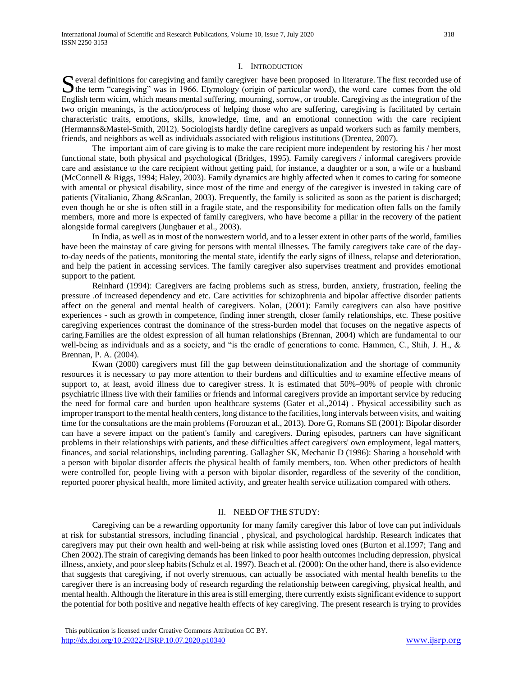#### I. INTRODUCTION

 $\Gamma$  everal definitions for caregiving and family caregiver have been proposed in literature. The first recorded use of S everal definitions for caregiving and family caregiver have been proposed in literature. The first recorded use of the term "caregiving" was in 1966. Etymology (origin of particular word), the word care comes from the ol English term wicim, which means mental suffering, mourning, sorrow, or trouble. Caregiving as the integration of the two origin meanings, is the action/process of helping those who are suffering, caregiving is facilitated by certain characteristic traits, emotions, skills, knowledge, time, and an emotional connection with the care recipient (Hermanns&Mastel-Smith, 2012). Sociologists hardly define caregivers as unpaid workers such as family members, friends, and neighbors as well as individuals associated with religious institutions (Drentea, 2007).

The important aim of care giving is to make the care recipient more independent by restoring his / her most functional state, both physical and psychological (Bridges, 1995). Family caregivers / informal caregivers provide care and assistance to the care recipient without getting paid, for instance, a daughter or a son, a wife or a husband (McConnell & Riggs, 1994; Haley, 2003). Family dynamics are highly affected when it comes to caring for someone with amental or physical disability, since most of the time and energy of the caregiver is invested in taking care of patients (Vitalianio, Zhang &Scanlan, 2003). Frequently, the family is solicited as soon as the patient is discharged; even though he or she is often still in a fragile state, and the responsibility for medication often falls on the family members, more and more is expected of family caregivers, who have become a pillar in the recovery of the patient alongside formal caregivers (Jungbauer et al., 2003).

In India, as well as in most of the nonwestern world, and to a lesser extent in other parts of the world, families have been the mainstay of care giving for persons with mental illnesses. The family caregivers take care of the dayto-day needs of the patients, monitoring the mental state, identify the early signs of illness, relapse and deterioration, and help the patient in accessing services. The family caregiver also supervises treatment and provides emotional support to the patient.

Reinhard (1994): Caregivers are facing problems such as stress, burden, anxiety, frustration, feeling the pressure .of increased dependency and etc. Care activities for schizophrenia and bipolar affective disorder patients affect on the general and mental health of caregivers. Nolan, (2001): Family caregivers can also have positive experiences - such as growth in competence, finding inner strength, closer family relationships, etc. These positive caregiving experiences contrast the dominance of the stress-burden model that focuses on the negative aspects of caring.Families are the oldest expression of all human relationships (Brennan, 2004) which are fundamental to our well-being as individuals and as a society, and "is the cradle of generations to come. Hammen, C., Shih, J. H., & Brennan, P. A. (2004).

Kwan (2000) caregivers must fill the gap between deinstitutionalization and the shortage of community resources it is necessary to pay more attention to their burdens and difficulties and to examine effective means of support to, at least, avoid illness due to caregiver stress. It is estimated that 50%–90% of people with chronic psychiatric illness live with their families or friends and informal caregivers provide an important service by reducing the need for formal care and burden upon healthcare systems (Gater et al.,2014) . Physical accessibility such as improper transport to the mental health centers, long distance to the facilities, long intervals between visits, and waiting time for the consultations are the main problems (Forouzan et al., 2013). Dore G, Romans SE (2001): Bipolar disorder can have a severe impact on the patient's family and caregivers. During episodes, partners can have significant problems in their relationships with patients, and these difficulties affect caregivers' own employment, legal matters, finances, and social relationships, including parenting. Gallagher SK, Mechanic D (1996): Sharing a household with a person with bipolar disorder affects the physical health of family members, too. When other predictors of health were controlled for, people living with a person with bipolar disorder, regardless of the severity of the condition, reported poorer physical health, more limited activity, and greater health service utilization compared with others.

#### II. NEED OF THE STUDY:

Caregiving can be a rewarding opportunity for many family caregiver this labor of love can put individuals at risk for substantial stressors, including financial , physical, and psychological hardship. Research indicates that caregivers may put their own health and well-being at risk while assisting loved ones (Burton et al.1997; Tang and Chen 2002).The strain of caregiving demands has been linked to poor health outcomes including depression, physical illness, anxiety, and poor sleep habits (Schulz et al. 1997). Beach et al. (2000): On the other hand, there is also evidence that suggests that caregiving, if not overly strenuous, can actually be associated with mental health benefits to the caregiver there is an increasing body of research regarding the relationship between caregiving, physical health, and mental health. Although the literature in this area is still emerging, there currently exists significant evidence to support the potential for both positive and negative health effects of key caregiving. The present research is trying to provides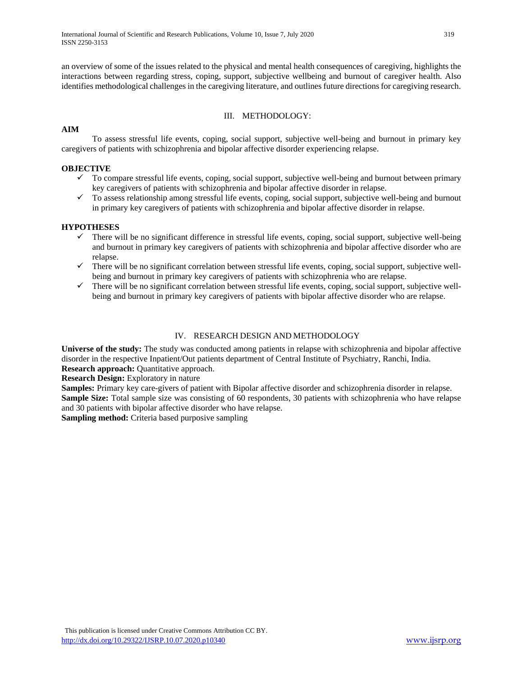an overview of some of the issues related to the physical and mental health consequences of caregiving, highlights the interactions between regarding stress, coping, support, subjective wellbeing and burnout of caregiver health. Also identifies methodological challenges in the caregiving literature, and outlines future directions for caregiving research.

#### III. METHODOLOGY:

## **AIM**

To assess stressful life events, coping, social support, subjective well-being and burnout in primary key caregivers of patients with schizophrenia and bipolar affective disorder experiencing relapse.

## **OBJECTIVE**

- $\checkmark$  To compare stressful life events, coping, social support, subjective well-being and burnout between primary key caregivers of patients with schizophrenia and bipolar affective disorder in relapse.
- $\checkmark$  To assess relationship among stressful life events, coping, social support, subjective well-being and burnout in primary key caregivers of patients with schizophrenia and bipolar affective disorder in relapse.

## **HYPOTHESES**

- $\checkmark$  There will be no significant difference in stressful life events, coping, social support, subjective well-being and burnout in primary key caregivers of patients with schizophrenia and bipolar affective disorder who are relapse.
- $\checkmark$  There will be no significant correlation between stressful life events, coping, social support, subjective wellbeing and burnout in primary key caregivers of patients with schizophrenia who are relapse.
- $\checkmark$  There will be no significant correlation between stressful life events, coping, social support, subjective wellbeing and burnout in primary key caregivers of patients with bipolar affective disorder who are relapse.

# IV. RESEARCH DESIGN AND METHODOLOGY

**Universe of the study:** The study was conducted among patients in relapse with schizophrenia and bipolar affective disorder in the respective Inpatient/Out patients department of Central Institute of Psychiatry, Ranchi, India. **Research approach:** Quantitative approach.

**Research Design:** Exploratory in nature

**Samples:** Primary key care-givers of patient with Bipolar affective disorder and schizophrenia disorder in relapse. **Sample Size:** Total sample size was consisting of 60 respondents, 30 patients with schizophrenia who have relapse and 30 patients with bipolar affective disorder who have relapse.

**Sampling method:** Criteria based purposive sampling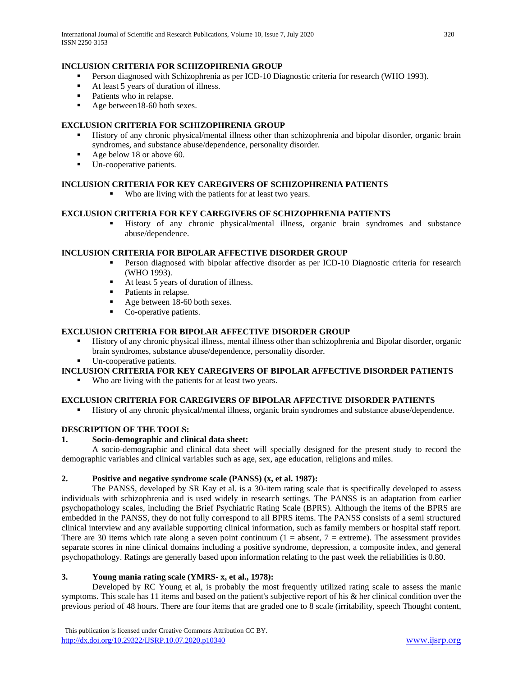International Journal of Scientific and Research Publications, Volume 10, Issue 7, July 2020 320 ISSN 2250-3153

#### **INCLUSION CRITERIA FOR SCHIZOPHRENIA GROUP**

- **Person diagnosed with Schizophrenia as per ICD-10 Diagnostic criteria for research (WHO 1993).**
- At least 5 years of duration of illness.
- Patients who in relapse.
- Age between 18-60 both sexes.

#### **EXCLUSION CRITERIA FOR SCHIZOPHRENIA GROUP**

- History of any chronic physical/mental illness other than schizophrenia and bipolar disorder, organic brain syndromes, and substance abuse/dependence, personality disorder.
- Age below 18 or above 60.
- Un-cooperative patients.

## **INCLUSION CRITERIA FOR KEY CAREGIVERS OF SCHIZOPHRENIA PATIENTS**

Who are living with the patients for at least two years.

#### **EXCLUSION CRITERIA FOR KEY CAREGIVERS OF SCHIZOPHRENIA PATIENTS**

 History of any chronic physical/mental illness, organic brain syndromes and substance abuse/dependence.

## **INCLUSION CRITERIA FOR BIPOLAR AFFECTIVE DISORDER GROUP**

- Person diagnosed with bipolar affective disorder as per ICD-10 Diagnostic criteria for research (WHO 1993).
- At least 5 years of duration of illness.
- Patients in relapse.
- Age between 18-60 both sexes.
- Co-operative patients.

#### **EXCLUSION CRITERIA FOR BIPOLAR AFFECTIVE DISORDER GROUP**

- History of any chronic physical illness, mental illness other than schizophrenia and Bipolar disorder, organic brain syndromes, substance abuse/dependence, personality disorder.
- Un-cooperative patients.

# **INCLUSION CRITERIA FOR KEY CAREGIVERS OF BIPOLAR AFFECTIVE DISORDER PATIENTS**

Who are living with the patients for at least two years.

## **EXCLUSION CRITERIA FOR CAREGIVERS OF BIPOLAR AFFECTIVE DISORDER PATIENTS**

History of any chronic physical/mental illness, organic brain syndromes and substance abuse/dependence.

## **DESCRIPTION OF THE TOOLS:**

#### **1. Socio-demographic and clinical data sheet:**

A socio-demographic and clinical data sheet will specially designed for the present study to record the demographic variables and clinical variables such as age, sex, age education, religions and miles.

## **2. Positive and negative syndrome scale (PANSS) (x, et al. 1987):**

The PANSS, developed by SR Kay et al. is a 30-item rating scale that is specifically developed to assess individuals with schizophrenia and is used widely in research settings. The PANSS is an adaptation from earlier psychopathology scales, including the Brief Psychiatric Rating Scale (BPRS). Although the items of the BPRS are embedded in the PANSS, they do not fully correspond to all BPRS items. The PANSS consists of a semi structured clinical interview and any available supporting clinical information, such as family members or hospital staff report. There are 30 items which rate along a seven point continuum  $(1 = \text{absent}, 7 = \text{extreme})$ . The assessment provides separate scores in nine clinical domains including a positive syndrome, depression, a composite index, and general psychopathology. Ratings are generally based upon information relating to the past week the reliabilities is 0.80.

## **3. Young mania rating scale (YMRS- x, et al., 1978):**

Developed by RC Young et al, is probably the most frequently utilized rating scale to assess the manic symptoms. This scale has 11 items and based on the patient's subjective report of his & her clinical condition over the previous period of 48 hours. There are four items that are graded one to 8 scale (irritability, speech Thought content,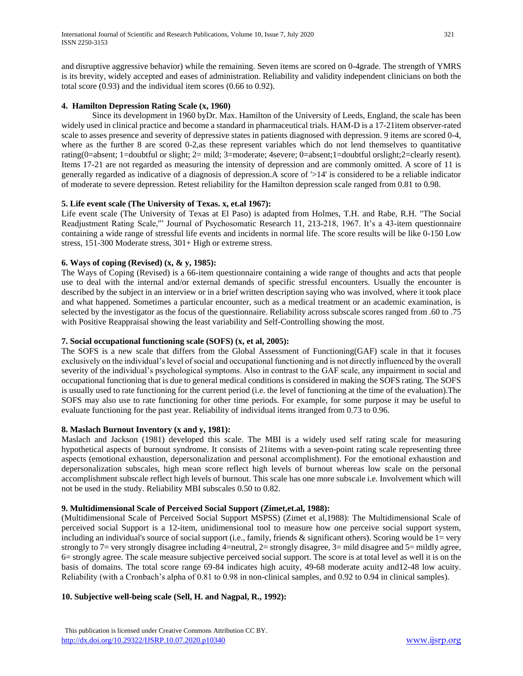and disruptive aggressive behavior) while the remaining. Seven items are scored on 0-4grade. The strength of YMRS is its brevity, widely accepted and eases of administration. Reliability and validity independent clinicians on both the total score (0.93) and the individual item scores (0.66 to 0.92).

# **4. Hamilton Depression Rating Scale (x, 1960)**

Since its development in 1960 byDr. Max. Hamilton of the University of Leeds, England, the scale has been widely used in clinical practice and become a standard in pharmaceutical trials. HAM-D is a 17-21item observer-rated scale to asses presence and severity of depressive states in patients diagnosed with depression. 9 items are scored 0-4, where as the further 8 are scored 0-2, as these represent variables which do not lend themselves to quantitative rating(0=absent; 1=doubtful or slight; 2= mild; 3=moderate; 4severe; 0=absent;1=doubtful orslight;2=clearly resent). Items 17-21 are not regarded as measuring the intensity of depression and are commonly omitted. A score of 11 is generally regarded as indicative of a diagnosis of depression.A score of '>14' is considered to be a reliable indicator of moderate to severe depression. Retest reliability for the Hamilton depression scale ranged from 0.81 to 0.98.

## **5. Life event scale (The University of Texas. x, et.al 1967):**

Life event scale (The University of Texas at El Paso) is adapted from Holmes, T.H. and Rabe, R.H. "The Social Readjustment Rating Scale,'" Journal of Psychosomatic Research 11, 213-218, 1967. It's a 43-item questionnaire containing a wide range of stressful life events and incidents in normal life. The score results will be like 0-150 Low stress, 151-300 Moderate stress, 301+ High or extreme stress.

## **6. Ways of coping (Revised) (x, & y, 1985):**

The Ways of Coping (Revised) is a 66-item questionnaire containing a wide range of thoughts and acts that people use to deal with the internal and/or external demands of specific stressful encounters. Usually the encounter is described by the subject in an interview or in a brief written description saying who was involved, where it took place and what happened. Sometimes a particular encounter, such as a medical treatment or an academic examination, is selected by the investigator as the focus of the questionnaire. Reliability across subscale scores ranged from .60 to .75 with Positive Reappraisal showing the least variability and Self-Controlling showing the most.

#### **7. Social occupational functioning scale (SOFS) (x, et al, 2005):**

The SOFS is a new scale that differs from the Global Assessment of Functioning(GAF) scale in that it focuses exclusively on the individual's level of social and occupational functioning and is not directly influenced by the overall severity of the individual's psychological symptoms. Also in contrast to the GAF scale, any impairment in social and occupational functioning that is due to general medical conditions is considered in making the SOFS rating. The SOFS is usually used to rate functioning for the current period (i.e. the level of functioning at the time of the evaluation).The SOFS may also use to rate functioning for other time periods. For example, for some purpose it may be useful to evaluate functioning for the past year. Reliability of individual items itranged from 0.73 to 0.96.

#### **8. Maslach Burnout Inventory (x and y, 1981):**

Maslach and Jackson (1981) developed this scale. The MBI is a widely used self rating scale for measuring hypothetical aspects of burnout syndrome. It consists of 21items with a seven-point rating scale representing three aspects (emotional exhaustion, depersonalization and personal accomplishment). For the emotional exhaustion and depersonalization subscales, high mean score reflect high levels of burnout whereas low scale on the personal accomplishment subscale reflect high levels of burnout. This scale has one more subscale i.e. Involvement which will not be used in the study. Reliability MBI subscales 0.50 to 0.82.

#### **9. Multidimensional Scale of Perceived Social Support (Zimet,et.al, 1988):**

(Multidimensional Scale of Perceived Social Support MSPSS) (Zimet et al,1988): The Multidimensional Scale of perceived social Support is a 12-item, unidimensional tool to measure how one perceive social support system, including an individual's source of social support (i.e., family, friends  $\&$  significant others). Scoring would be  $1 = \text{very}$ strongly to 7= very strongly disagree including 4=neutral, 2= strongly disagree, 3= mild disagree and 5= mildly agree, 6= strongly agree. The scale measure subjective perceived social support. The score is at total level as well it is on the basis of domains. The total score range 69-84 indicates high acuity, 49-68 moderate acuity and12-48 low acuity. Reliability (with a Cronbach's alpha of 0.81 to 0.98 in non-clinical samples, and 0.92 to 0.94 in clinical samples).

## **10. Subjective well-being scale (Sell, H. and Nagpal, R., 1992):**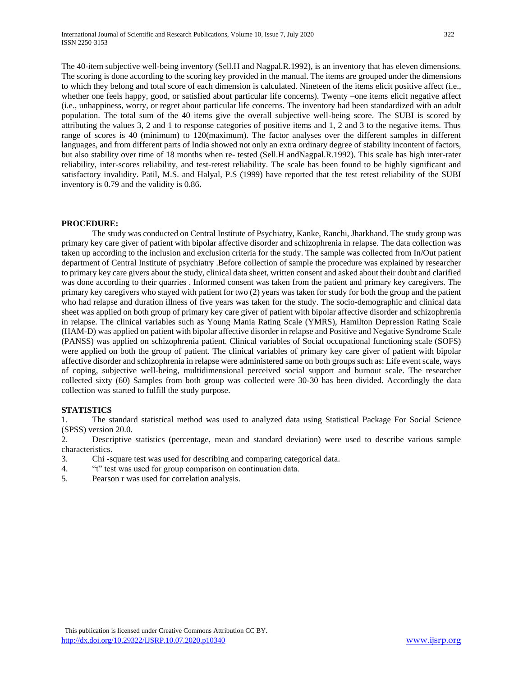The 40-item subjective well-being inventory (Sell.H and Nagpal.R.1992), is an inventory that has eleven dimensions. The scoring is done according to the scoring key provided in the manual. The items are grouped under the dimensions to which they belong and total score of each dimension is calculated. Nineteen of the items elicit positive affect (i.e., whether one feels happy, good, or satisfied about particular life concerns). Twenty –one items elicit negative affect (i.e., unhappiness, worry, or regret about particular life concerns. The inventory had been standardized with an adult population. The total sum of the 40 items give the overall subjective well-being score. The SUBI is scored by attributing the values 3, 2 and 1 to response categories of positive items and 1, 2 and 3 to the negative items. Thus range of scores is 40 (minimum) to 120(maximum). The factor analyses over the different samples in different languages, and from different parts of India showed not only an extra ordinary degree of stability incontent of factors, but also stability over time of 18 months when re- tested (Sell.H andNagpal.R.1992). This scale has high inter-rater reliability, inter-scores reliability, and test-retest reliability. The scale has been found to be highly significant and satisfactory invalidity. Patil, M.S. and Halyal, P.S (1999) have reported that the test retest reliability of the SUBI inventory is 0.79 and the validity is 0.86.

#### **PROCEDURE:**

The study was conducted on Central Institute of Psychiatry, Kanke, Ranchi, Jharkhand. The study group was primary key care giver of patient with bipolar affective disorder and schizophrenia in relapse. The data collection was taken up according to the inclusion and exclusion criteria for the study. The sample was collected from In/Out patient department of Central Institute of psychiatry .Before collection of sample the procedure was explained by researcher to primary key care givers about the study, clinical data sheet, written consent and asked about their doubt and clarified was done according to their quarries . Informed consent was taken from the patient and primary key caregivers. The primary key caregivers who stayed with patient for two (2) years was taken for study for both the group and the patient who had relapse and duration illness of five years was taken for the study. The socio-demographic and clinical data sheet was applied on both group of primary key care giver of patient with bipolar affective disorder and schizophrenia in relapse. The clinical variables such as Young Mania Rating Scale (YMRS), Hamilton Depression Rating Scale (HAM-D) was applied on patient with bipolar affective disorder in relapse and Positive and Negative Syndrome Scale (PANSS) was applied on schizophrenia patient. Clinical variables of Social occupational functioning scale (SOFS) were applied on both the group of patient. The clinical variables of primary key care giver of patient with bipolar affective disorder and schizophrenia in relapse were administered same on both groups such as: Life event scale, ways of coping, subjective well-being, multidimensional perceived social support and burnout scale. The researcher collected sixty (60) Samples from both group was collected were 30-30 has been divided. Accordingly the data collection was started to fulfill the study purpose.

#### **STATISTICS**

1. The standard statistical method was used to analyzed data using Statistical Package For Social Science (SPSS) version 20.0.

2. Descriptive statistics (percentage, mean and standard deviation) were used to describe various sample characteristics.

- 3. Chi -square test was used for describing and comparing categorical data.
- 4. "t" test was used for group comparison on continuation data.
- 5. Pearson r was used for correlation analysis.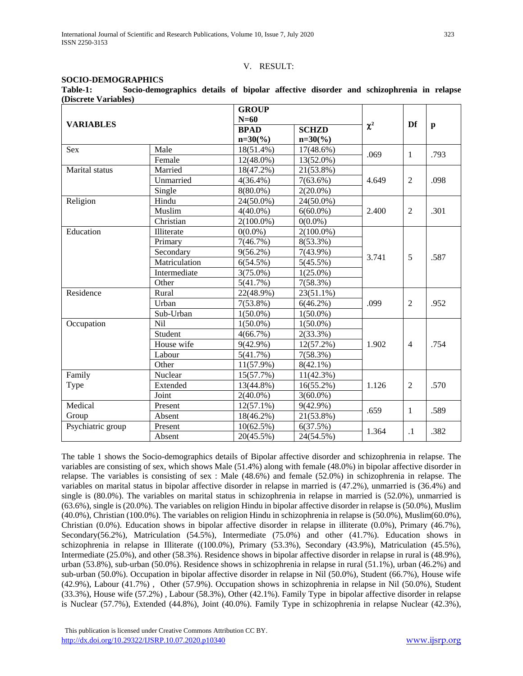#### V. RESULT:

#### **SOCIO-DEMOGRAPHICS**

| Table-1:             | Socio-demographics details of bipolar affective disorder and schizophrenia in relapse |  |  |  |  |  |
|----------------------|---------------------------------------------------------------------------------------|--|--|--|--|--|
| (Discrete Variables) |                                                                                       |  |  |  |  |  |

|                   |               | <b>GROUP</b> |              |          |                |              |
|-------------------|---------------|--------------|--------------|----------|----------------|--------------|
| <b>VARIABLES</b>  |               | $N=60$       |              |          | Df             |              |
|                   |               | <b>BPAD</b>  | <b>SCHZD</b> | $\chi^2$ |                | $\mathbf{p}$ |
|                   |               | $n=30(%)$    | $n=30\,(%)$  |          |                |              |
| <b>Sex</b>        | Male          | 18(51.4%)    | $17(48.6\%)$ | .069     | $\mathbf{1}$   | .793         |
|                   | Female        | $12(48.0\%)$ | 13(52.0%)    |          |                |              |
| Marital status    | Married       | 18(47.2%)    | 21(53.8%)    |          |                |              |
|                   | Unmarried     | $4(36.4\%)$  | $7(63.6\%)$  | 4.649    | 2              | .098         |
|                   | Single        | $8(80.0\%)$  | $2(20.0\%)$  |          |                |              |
| Religion          | Hindu         | 24(50.0%)    | 24(50.0%)    |          |                |              |
|                   | Muslim        | $4(40.0\%)$  | $6(60.0\%)$  | 2.400    | $\overline{2}$ | .301         |
|                   | Christian     | $2(100.0\%)$ | $0(0.0\%)$   |          |                |              |
| Education         | Illiterate    | $0(0.0\%)$   | $2(100.0\%)$ |          |                |              |
|                   | Primary       | 7(46.7%)     | $8(53.3\%)$  |          |                |              |
|                   | Secondary     | $9(56.2\%)$  | $7(43.9\%)$  | 3.741    | 5              | .587         |
|                   | Matriculation | 6(54.5%)     | 5(45.5%)     |          |                |              |
|                   | Intermediate  | $3(75.0\%)$  | $1(25.0\%)$  |          |                |              |
|                   | Other         | 5(41.7%)     | 7(58.3%)     |          |                |              |
| Residence         | Rural         | 22(48.9%)    | $23(51.1\%)$ |          |                |              |
|                   | Urban         | $7(53.8\%)$  | $6(46.2\%)$  | .099     | $\overline{2}$ | .952         |
|                   | Sub-Urban     | $1(50.0\%)$  | $1(50.0\%)$  |          |                |              |
| Occupation        | Nil           | $1(50.0\%)$  | $1(50.0\%)$  |          |                |              |
|                   | Student       | 4(66.7%)     | 2(33.3%)     |          |                |              |
|                   | House wife    | $9(42.9\%)$  | $12(57.2\%)$ | 1.902    | $\overline{4}$ | .754         |
|                   | Labour        | 5(41.7%)     | 7(58.3%)     |          |                |              |
|                   | Other         | $11(57.9\%)$ | $8(42.1\%)$  |          |                |              |
| Family            | Nuclear       | 15(57.7%)    | 11(42.3%)    |          |                |              |
| Type              | Extended      | 13(44.8%)    | $16(55.2\%)$ | 1.126    | 2              | .570         |
|                   | Joint         | $2(40.0\%)$  | $3(60.0\%)$  |          |                |              |
| Medical           | Present       | $12(57.1\%)$ | $9(42.9\%)$  | .659     | 1              | .589         |
| Group             | Absent        | 18(46.2%)    | 21(53.8%)    |          |                |              |
| Psychiatric group | Present       | 10(62.5%)    | 6(37.5%)     | 1.364    | $\cdot$ 1      | .382         |
|                   | Absent        | 20(45.5%)    | 24(54.5%)    |          |                |              |

The table 1 shows the Socio-demographics details of Bipolar affective disorder and schizophrenia in relapse. The variables are consisting of sex, which shows Male (51.4%) along with female (48.0%) in bipolar affective disorder in relapse. The variables is consisting of sex : Male (48.6%) and female (52.0%) in schizophrenia in relapse. The variables on marital status in bipolar affective disorder in relapse in married is (47.2%), unmarried is (36.4%) and single is (80.0%). The variables on marital status in schizophrenia in relapse in married is (52.0%), unmarried is (63.6%), single is (20.0%). The variables on religion Hindu in bipolar affective disorder in relapse is (50.0%), Muslim (40.0%), Christian (100.0%). The variables on religion Hindu in schizophrenia in relapse is (50.0%), Muslim(60.0%), Christian (0.0%). Education shows in bipolar affective disorder in relapse in illiterate (0.0%), Primary (46.7%), Secondary(56.2%), Matriculation (54.5%), Intermediate (75.0%) and other (41.7%). Education shows in schizophrenia in relapse in Illiterate ((100.0%), Primary (53.3%), Secondary (43.9%), Matriculation (45.5%), Intermediate (25.0%), and other (58.3%). Residence shows in bipolar affective disorder in relapse in rural is (48.9%), urban (53.8%), sub-urban (50.0%). Residence shows in schizophrenia in relapse in rural (51.1%), urban (46.2%) and sub-urban (50.0%). Occupation in bipolar affective disorder in relapse in Nil (50.0%), Student (66.7%), House wife (42.9%), Labour (41.7%) , Other (57.9%). Occupation shows in schizophrenia in relapse in Nil (50.0%), Student (33.3%), House wife (57.2%) , Labour (58.3%), Other (42.1%). Family Type in bipolar affective disorder in relapse is Nuclear (57.7%), Extended (44.8%), Joint (40.0%). Family Type in schizophrenia in relapse Nuclear (42.3%),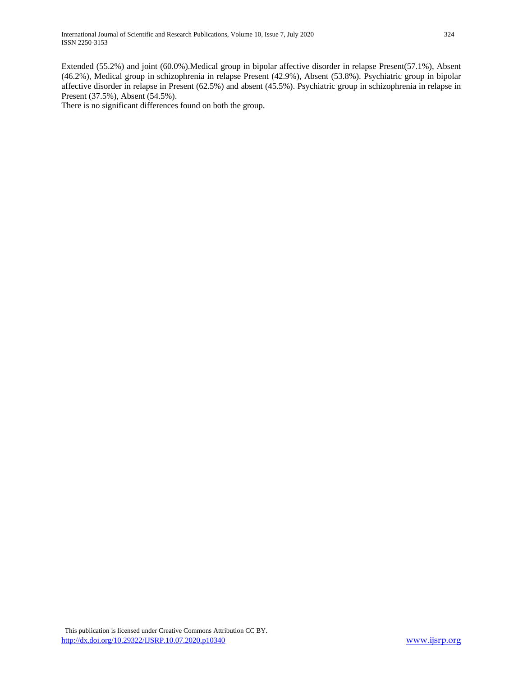Extended (55.2%) and joint (60.0%).Medical group in bipolar affective disorder in relapse Present(57.1%), Absent (46.2%), Medical group in schizophrenia in relapse Present (42.9%), Absent (53.8%). Psychiatric group in bipolar affective disorder in relapse in Present (62.5%) and absent (45.5%). Psychiatric group in schizophrenia in relapse in Present (37.5%), Absent (54.5%).

There is no significant differences found on both the group.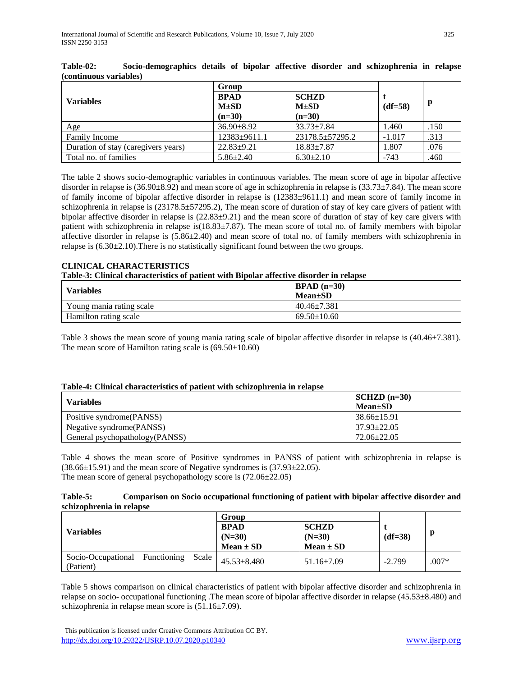|                                     | Group                    |                           |           |      |
|-------------------------------------|--------------------------|---------------------------|-----------|------|
| <b>Variables</b>                    | <b>BPAD</b><br>$M\pm SD$ | <b>SCHZD</b><br>$M\pm SD$ | $(df=58)$ | p    |
|                                     | $(n=30)$                 | $(n=30)$                  |           |      |
| Age                                 | $36.90 \pm 8.92$         | $33.73 \pm 7.84$          | 1.460     | .150 |
| <b>Family Income</b>                | $12383 \pm 9611.1$       | $23178.5 \pm 57295.2$     | $-1.017$  | .313 |
| Duration of stay (caregivers years) | $22.83 \pm 9.21$         | $18.83 \pm 7.87$          | 1.807     | .076 |
| Total no. of families               | $5.86 \pm 2.40$          | $6.30 \pm 2.10$           | $-743$    | .460 |

| Table-02:              | Socio-demographics details of bipolar affective disorder and schizophrenia in relapse |  |  |  |  |  |
|------------------------|---------------------------------------------------------------------------------------|--|--|--|--|--|
| (continuous variables) |                                                                                       |  |  |  |  |  |

The table 2 shows socio-demographic variables in continuous variables. The mean score of age in bipolar affective disorder in relapse is (36.90±8.92) and mean score of age in schizophrenia in relapse is (33.73±7.84). The mean score of family income of bipolar affective disorder in relapse is (12383±9611.1) and mean score of family income in schizophrenia in relapse is (23178.5±57295.2), The mean score of duration of stay of key care givers of patient with bipolar affective disorder in relapse is (22.83±9.21) and the mean score of duration of stay of key care givers with patient with schizophrenia in relapse is(18.83±7.87). The mean score of total no. of family members with bipolar affective disorder in relapse is (5.86±2.40) and mean score of total no. of family members with schizophrenia in relapse is (6.30±2.10).There is no statistically significant found between the two groups.

# **CLINICAL CHARACTERISTICS**

#### **Table-3: Clinical characteristics of patient with Bipolar affective disorder in relapse**

| <b>Variables</b>         | $BPAD (n=30)$<br>$Mean \pm SD$ |
|--------------------------|--------------------------------|
| Young mania rating scale | $40.46 \pm 7.381$              |
| Hamilton rating scale    | $69.50 \pm 10.60$              |

Table 3 shows the mean score of young mania rating scale of bipolar affective disorder in relapse is (40.46±7.381). The mean score of Hamilton rating scale is  $(69.50 \pm 10.60)$ 

## **Table-4: Clinical characteristics of patient with schizophrenia in relapse**

| <b>Variables</b>               | $SCHZD (n=30)$<br>$Mean \pm SD$ |
|--------------------------------|---------------------------------|
| Positive syndrome(PANSS)       | $38.66 \pm 15.91$               |
| Negative syndrome (PANSS)      | $37.93 \pm 22.05$               |
| General psychopathology(PANSS) | $72.06 \pm 22.05$               |

Table 4 shows the mean score of Positive syndromes in PANSS of patient with schizophrenia in relapse is  $(38.66\pm15.91)$  and the mean score of Negative syndromes is  $(37.93\pm22.05)$ . The mean score of general psychopathology score is (72.06±22.05)

## **Table-5: Comparison on Socio occupational functioning of patient with bipolar affective disorder and schizophrenia in relapse**

|                                 |             |       | Group             |                  |           |         |
|---------------------------------|-------------|-------|-------------------|------------------|-----------|---------|
|                                 |             |       | <b>BPAD</b>       | <b>SCHZD</b>     |           |         |
| Variables                       |             |       | $(N=30)$          | $(N=30)$         | $(df=38)$ |         |
|                                 |             |       | $Mean \pm SD$     | $Mean \pm SD$    |           |         |
| Socio-Occupational<br>(Patient) | Functioning | Scale | $45.53 \pm 8.480$ | $51.16 \pm 7.09$ | $-2.799$  | $.007*$ |

Table 5 shows comparison on clinical characteristics of patient with bipolar affective disorder and schizophrenia in relapse on socio- occupational functioning .The mean score of bipolar affective disorder in relapse (45.53±8.480) and schizophrenia in relapse mean score is (51.16±7.09).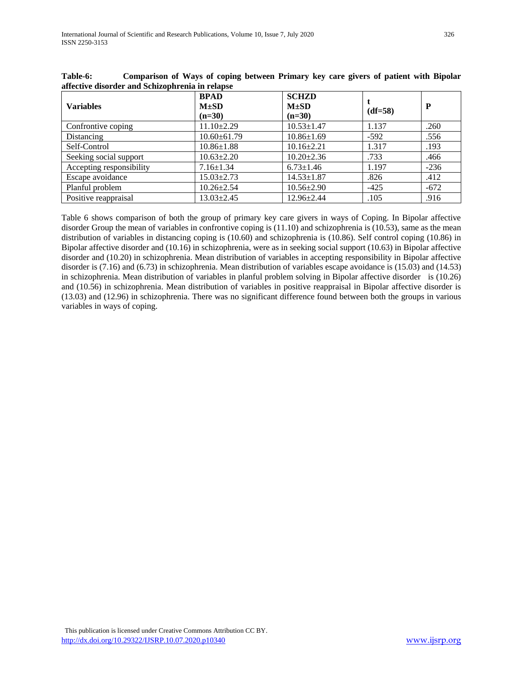| <b>Variables</b>         | <b>BPAD</b><br>$M \pm SD$<br>$(n=30)$ | <b>SCHZD</b><br>$M\pm SD$<br>$(n=30)$ | $(df=58)$ | P      |
|--------------------------|---------------------------------------|---------------------------------------|-----------|--------|
| Confrontive coping       | $11.10 \pm 2.29$                      | $10.53 \pm 1.47$                      | 1.137     | .260   |
| Distancing               | $10.60 \pm 61.79$                     | $10.86 \pm 1.69$                      | $-592$    | .556   |
| Self-Control             | $10.86 \pm 1.88$                      | $10.16 \pm 2.21$                      | 1.317     | .193   |
| Seeking social support   | $10.63 \pm 2.20$                      | $10.20 \pm 2.36$                      | .733      | .466   |
| Accepting responsibility | $7.16 \pm 1.34$                       | $6.73 \pm 1.46$                       | 1.197     | $-236$ |
| Escape avoidance         | $15.03 \pm 2.73$                      | $14.53 \pm 1.87$                      | .826      | .412   |
| Planful problem          | $10.26 \pm 2.54$                      | $10.56 \pm 2.90$                      | $-425$    | $-672$ |
| Positive reappraisal     | $13.03 \pm 2.45$                      | $12.96 \pm 2.44$                      | .105      | .916   |

**Table-6: Comparison of Ways of coping between Primary key care givers of patient with Bipolar affective disorder and Schizophrenia in relapse**

Table 6 shows comparison of both the group of primary key care givers in ways of Coping. In Bipolar affective disorder Group the mean of variables in confrontive coping is (11.10) and schizophrenia is (10.53), same as the mean distribution of variables in distancing coping is (10.60) and schizophrenia is (10.86). Self control coping (10.86) in Bipolar affective disorder and (10.16) in schizophrenia, were as in seeking social support (10.63) in Bipolar affective disorder and (10.20) in schizophrenia. Mean distribution of variables in accepting responsibility in Bipolar affective disorder is (7.16) and (6.73) in schizophrenia. Mean distribution of variables escape avoidance is (15.03) and (14.53) in schizophrenia. Mean distribution of variables in planful problem solving in Bipolar affective disorder is (10.26) and (10.56) in schizophrenia. Mean distribution of variables in positive reappraisal in Bipolar affective disorder is (13.03) and (12.96) in schizophrenia. There was no significant difference found between both the groups in various variables in ways of coping.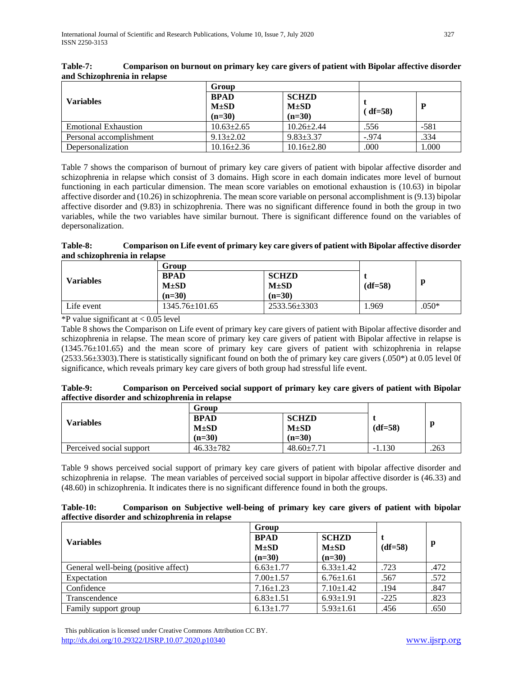|                         | Group                    |                           |         |        |
|-------------------------|--------------------------|---------------------------|---------|--------|
| <b>Variables</b>        | <b>BPAD</b><br>$M\pm SD$ | <b>SCHZD</b><br>$M\pm SD$ |         | P      |
|                         | $(n=30)$                 | $(n=30)$                  | (df=58) |        |
| Emotional Exhaustion    | $10.63 \pm 2.65$         | $10.26 \pm 2.44$          | .556    | $-581$ |
| Personal accomplishment | $9.13 \pm 2.02$          | $9.83 \pm 3.37$           | $-.974$ | .334   |
| Depersonalization       | $10.16 \pm 2.36$         | $10.16 \pm 2.80$          | .000    | 1.000  |

| Table-7: | Comparison on burnout on primary key care givers of patient with Bipolar affective disorder |
|----------|---------------------------------------------------------------------------------------------|
|          | and Schizophrenia in relapse                                                                |

Table 7 shows the comparison of burnout of primary key care givers of patient with bipolar affective disorder and schizophrenia in relapse which consist of 3 domains. High score in each domain indicates more level of burnout functioning in each particular dimension. The mean score variables on emotional exhaustion is (10.63) in bipolar affective disorder and (10.26) in schizophrenia. The mean score variable on personal accomplishment is (9.13) bipolar affective disorder and (9.83) in schizophrenia. There was no significant difference found in both the group in two variables, while the two variables have similar burnout. There is significant difference found on the variables of depersonalization.

#### **Table-8: Comparison on Life event of primary key care givers of patient with Bipolar affective disorder and schizophrenia in relapse**

|                  | Group                |              |           |         |
|------------------|----------------------|--------------|-----------|---------|
| <b>Variables</b> | <b>BPAD</b>          | <b>SCHZD</b> |           |         |
|                  | $M\pm SD$            | $M\pm SD$    | $(df=58)$ |         |
|                  | $(n=30)$             | $(n=30)$     |           |         |
| Life event       | $1345.76 \pm 101.65$ | 2533.56±3303 | .969      | $.050*$ |

 $*P$  value significant at  $< 0.05$  level

Table 8 shows the Comparison on Life event of primary key care givers of patient with Bipolar affective disorder and schizophrenia in relapse. The mean score of primary key care givers of patient with Bipolar affective in relapse is (1345.76±101.65) and the mean score of primary key care givers of patient with schizophrenia in relapse  $(2533.56\pm 3303)$ . There is statistically significant found on both the of primary key care givers (.050\*) at 0.05 level 0f significance, which reveals primary key care givers of both group had stressful life event.

| Table-9: | Comparison on Perceived social support of primary key care givers of patient with Bipolar |
|----------|-------------------------------------------------------------------------------------------|
|          | affective disorder and schizophrenia in relapse                                           |

|                          | Group           |                  |           |      |  |
|--------------------------|-----------------|------------------|-----------|------|--|
| <b>Variables</b>         | <b>BPAD</b>     | <b>SCHZD</b>     |           |      |  |
|                          | $M\pm SD$       | $M\pm SD$        | $(df=58)$ | .263 |  |
|                          | $(n=30)$        | $(n=30)$         |           |      |  |
| Perceived social support | $46.33 \pm 782$ | $48.60 \pm 7.71$ | $-1.130$  |      |  |

Table 9 shows perceived social support of primary key care givers of patient with bipolar affective disorder and schizophrenia in relapse. The mean variables of perceived social support in bipolar affective disorder is (46.33) and (48.60) in schizophrenia. It indicates there is no significant difference found in both the groups.

| Table-10:                                       | Comparison on Subjective well-being of primary key care givers of patient with bipolar |  |  |  |  |  |  |
|-------------------------------------------------|----------------------------------------------------------------------------------------|--|--|--|--|--|--|
| affective disorder and schizophrenia in relapse |                                                                                        |  |  |  |  |  |  |

|                                      | Group                                |                                       |           | p<br>.472<br>.572<br>.847 |
|--------------------------------------|--------------------------------------|---------------------------------------|-----------|---------------------------|
| <b>Variables</b>                     | <b>BPAD</b><br>$M\pm SD$<br>$(n=30)$ | <b>SCHZD</b><br>$M\pm SD$<br>$(n=30)$ | $(df=58)$ |                           |
| General well-being (positive affect) | $6.63 \pm 1.77$                      | $6.33 \pm 1.42$                       | .723      |                           |
| Expectation                          | $7.00 \pm 1.57$                      | $6.76 \pm 1.61$                       | .567      |                           |
| Confidence                           | $7.16 \pm 1.23$                      | $7.10 \pm 1.42$                       | .194      |                           |
| Transcendence                        | $6.83 \pm 1.51$                      | $6.93 \pm 1.91$                       | $-225$    | .823                      |
| Family support group                 | $6.13 \pm 1.77$                      | $5.93 \pm 1.61$                       | .456      | .650                      |

 This publication is licensed under Creative Commons Attribution CC BY. <http://dx.doi.org/10.29322/IJSRP.10.07.2020.p10340> [www.ijsrp.org](http://ijsrp.org/)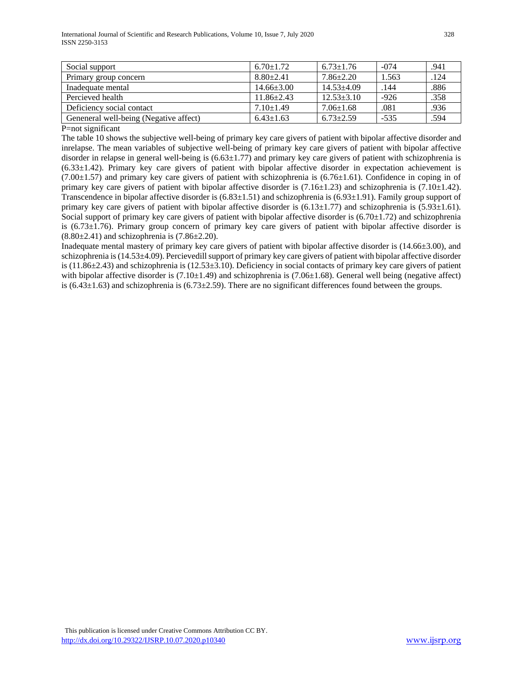| Social support                         | $6.70 \pm 1.72$  | $6.73 \pm 1.76$  | $-074$ | .941 |
|----------------------------------------|------------------|------------------|--------|------|
| Primary group concern                  | $8.80 + 2.41$    | $7.86 \pm 2.20$  | 1.563  | .124 |
| Inadequate mental                      | $14.66 \pm 3.00$ | $14.53 + 4.09$   | .144   | .886 |
| Percieved health                       | $11.86 \pm 2.43$ | $12.53 \pm 3.10$ | $-926$ | .358 |
| Deficiency social contact              | $7.10 \pm 1.49$  | $7.06 \pm 1.68$  | .081   | .936 |
| Geneneral well-being (Negative affect) | $6.43 \pm 1.63$  | $6.73 \pm 2.59$  | $-535$ | .594 |

P=not significant

The table 10 shows the subjective well-being of primary key care givers of patient with bipolar affective disorder and inrelapse. The mean variables of subjective well-being of primary key care givers of patient with bipolar affective disorder in relapse in general well-being is  $(6.63\pm1.77)$  and primary key care givers of patient with schizophrenia is  $(6.33\pm1.42)$ . Primary key care givers of patient with bipolar affective disorder in expectation achievement is  $(7.00\pm1.57)$  and primary key care givers of patient with schizophrenia is  $(6.76\pm1.61)$ . Confidence in coping in of primary key care givers of patient with bipolar affective disorder is  $(7.16\pm1.23)$  and schizophrenia is  $(7.10\pm1.42)$ . Transcendence in bipolar affective disorder is (6.83±1.51) and schizophrenia is (6.93±1.91). Family group support of primary key care givers of patient with bipolar affective disorder is  $(6.13 \pm 1.77)$  and schizophrenia is  $(5.93 \pm 1.61)$ . Social support of primary key care givers of patient with bipolar affective disorder is  $(6.70 \pm 1.72)$  and schizophrenia is (6.73±1.76). Primary group concern of primary key care givers of patient with bipolar affective disorder is  $(8.80\pm2.41)$  and schizophrenia is  $(7.86\pm2.20)$ .

Inadequate mental mastery of primary key care givers of patient with bipolar affective disorder is (14.66±3.00), and schizophrenia is (14.53±4.09). Percievedill support of primary key care givers of patient with bipolar affective disorder is  $(11.86\pm 2.43)$  and schizophrenia is  $(12.53\pm 3.10)$ . Deficiency in social contacts of primary key care givers of patient with bipolar affective disorder is  $(7.10\pm1.49)$  and schizophrenia is  $(7.06\pm1.68)$ . General well being (negative affect) is (6.43 $\pm$ 1.63) and schizophrenia is (6.73 $\pm$ 2.59). There are no significant differences found between the groups.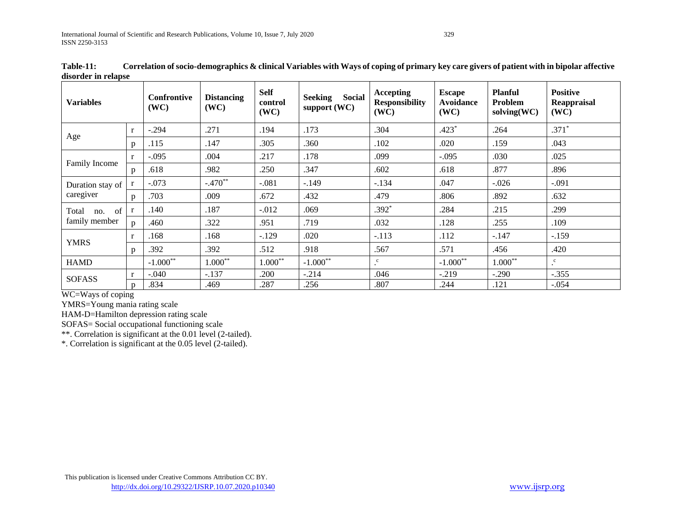| <b>Variables</b> |              | <b>Confrontive</b><br>(WC) | <b>Distancing</b><br>(WC) | <b>Self</b><br>control<br>(WC) | Social<br><b>Seeking</b><br>support $(WC)$ | <b>Accepting</b><br><b>Responsibility</b><br>(WC) | <b>Escape</b><br><b>Avoidance</b><br>(WC) | <b>Planful</b><br>Problem<br>$\text{solving}(WC)$ | <b>Positive</b><br>Reappraisal<br>(WC) |
|------------------|--------------|----------------------------|---------------------------|--------------------------------|--------------------------------------------|---------------------------------------------------|-------------------------------------------|---------------------------------------------------|----------------------------------------|
|                  | r            | $-.294$                    | .271                      | .194                           | .173                                       | .304                                              | $.423*$                                   | .264                                              | $.371*$                                |
| Age              | p            | .115                       | .147                      | .305                           | .360                                       | .102                                              | .020                                      | .159                                              | .043                                   |
| Family Income    | r            | $-.095$                    | .004                      | .217                           | .178                                       | .099                                              | $-.095$                                   | .030                                              | .025                                   |
|                  | p            | .618                       | .982                      | .250                           | .347                                       | .602                                              | .618                                      | .877                                              | .896                                   |
| Duration stay of |              | $-.073$                    | $-.470**$                 | $-.081$                        | $-.149$                                    | $-.134$                                           | .047                                      | $-.026$                                           | $-.091$                                |
| caregiver        | p            | .703                       | .009                      | .672                           | .432                                       | .479                                              | .806                                      | .892                                              | .632                                   |
| no. of<br>Total  | $\mathbf{r}$ | .140                       | .187                      | $-.012$                        | .069                                       | $.392*$                                           | .284                                      | .215                                              | .299                                   |
| family member    | $\mathbf{D}$ | .460                       | .322                      | .951                           | .719                                       | .032                                              | .128                                      | .255                                              | .109                                   |
| <b>YMRS</b>      | $\mathbf{r}$ | .168                       | .168                      | $-129$                         | .020                                       | $-.113$                                           | .112                                      | $-.147$                                           | $-.159$                                |
|                  | p            | .392                       | .392                      | .512                           | .918                                       | .567                                              | .571                                      | .456                                              | .420                                   |
| <b>HAMD</b>      |              | $-1.000**$                 | $1.000**$                 | $1.000**$                      | $-1.000**$                                 | $\cdot^c$                                         | $-1.000**$                                | $1.000**$                                         | $\cdot^{\mathrm{c}}$                   |
|                  | r            | $-.040$                    | $-.137$                   | .200                           | $-.214$                                    | .046                                              | $-.219$                                   | $-.290$                                           | $-.355$                                |
| <b>SOFASS</b>    | p            | .834                       | .469                      | .287                           | .256                                       | .807                                              | .244                                      | .121                                              | $-.054$                                |

**Table-11: Correlation of socio-demographics & clinical Variables with Ways of coping of primary key care givers of patient with in bipolar affective disorder in relapse**

WC=Ways of coping

YMRS=Young mania rating scale

HAM-D=Hamilton depression rating scale

SOFAS= Social occupational functioning scale

\*\*. Correlation is significant at the 0.01 level (2-tailed).

\*. Correlation is significant at the 0.05 level (2-tailed).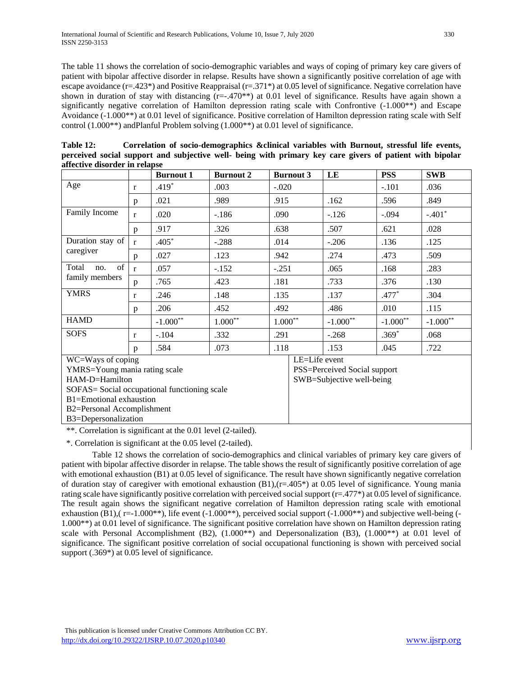The table 11 shows the correlation of socio-demographic variables and ways of coping of primary key care givers of patient with bipolar affective disorder in relapse. Results have shown a significantly positive correlation of age with escape avoidance (r=.423\*) and Positive Reappraisal (r=.371\*) at 0.05 level of significance. Negative correlation have shown in duration of stay with distancing (r=-.470<sup>\*\*</sup>) at 0.01 level of significance. Results have again shown a significantly negative correlation of Hamilton depression rating scale with Confrontive (-1.000\*\*) and Escape Avoidance (-1.000\*\*) at 0.01 level of significance. Positive correlation of Hamilton depression rating scale with Self control (1.000\*\*) andPlanful Problem solving (1.000\*\*) at 0.01 level of significance.

| affective disorder in relapse                                                                                                                                                 |              |                  |                    |           |                  |                                                           |            |            |
|-------------------------------------------------------------------------------------------------------------------------------------------------------------------------------|--------------|------------------|--------------------|-----------|------------------|-----------------------------------------------------------|------------|------------|
|                                                                                                                                                                               |              | <b>Burnout 1</b> | <b>Burnout 2</b>   |           | <b>Burnout 3</b> | LE                                                        | <b>PSS</b> | <b>SWB</b> |
| Age                                                                                                                                                                           | r            | $.419*$          | .003               | $-.020$   |                  |                                                           | $-.101$    | .036       |
|                                                                                                                                                                               | p            | .021             | .989               | .915      |                  | .162                                                      | .596       | .849       |
| Family Income                                                                                                                                                                 | r            | .020             | $-186$             | .090      |                  | $-126$                                                    | $-.094$    | $-.401*$   |
|                                                                                                                                                                               | p            | .917             | .326               | .638      |                  | .507                                                      | .621       | .028       |
| Duration stay of                                                                                                                                                              | $\mathbf{r}$ | $.405*$          | $-.288$            | .014      |                  | $-.206$                                                   | .136       | .125       |
| caregiver                                                                                                                                                                     | p            | .027             | .123               | .942      |                  | .274                                                      | .473       | .509       |
| of<br>Total<br>no.<br>family members                                                                                                                                          | $\mathbf{r}$ | .057             | $-.152$            | $-.251$   |                  | .065                                                      | .168       | .283       |
|                                                                                                                                                                               | p            | .765             | .423               | .181      |                  | .733                                                      | .376       | .130       |
| <b>YMRS</b>                                                                                                                                                                   | r            | .246             | .148               | .135      |                  | .137                                                      | $.477*$    | .304       |
|                                                                                                                                                                               | p            | .206             | .452               | .492      |                  | .486                                                      | .010       | .115       |
| <b>HAMD</b>                                                                                                                                                                   |              | $-1.000**$       | $1.000^{\ast\ast}$ | $1.000**$ |                  | $-1.000**$                                                | $-1.000**$ | $-1.000**$ |
| <b>SOFS</b>                                                                                                                                                                   | r            | $-.104$          | .332               | .291      |                  | $-.268$                                                   | $.369*$    | .068       |
|                                                                                                                                                                               | p            | .584             | .073               | .118      |                  | .153                                                      | .045       | .722       |
| WC=Ways of coping<br>YMRS=Young mania rating scale<br>HAM-D=Hamilton<br>SOFAS= Social occupational functioning scale<br>B1=Emotional exhaustion<br>B2=Personal Accomplishment |              |                  |                    |           | LE=Life event    | PSS=Perceived Social support<br>SWB=Subjective well-being |            |            |
| B3=Depersonalization                                                                                                                                                          |              |                  |                    |           |                  |                                                           |            |            |

| Table 12:                                                                                                | Correlation of socio-demographics & clinical variables with Burnout, stressful life events, |  |  |  |  |  |
|----------------------------------------------------------------------------------------------------------|---------------------------------------------------------------------------------------------|--|--|--|--|--|
| perceived social support and subjective well- being with primary key care givers of patient with bipolar |                                                                                             |  |  |  |  |  |
| affective disorder in relapse                                                                            |                                                                                             |  |  |  |  |  |

\*\*. Correlation is significant at the 0.01 level (2-tailed).

\*. Correlation is significant at the 0.05 level (2-tailed).

Table 12 shows the correlation of socio-demographics and clinical variables of primary key care givers of patient with bipolar affective disorder in relapse. The table shows the result of significantly positive correlation of age with emotional exhaustion (B1) at 0.05 level of significance. The result have shown significantly negative correlation of duration stay of caregiver with emotional exhaustion  $(B1)$ ,  $(r=405^*)$  at 0.05 level of significance. Young mania rating scale have significantly positive correlation with perceived social support  $(r=.477*)$  at 0.05 level of significance. The result again shows the significant negative correlation of Hamilton depression rating scale with emotional exhaustion (B1),( r=-1.000\*\*), life event (-1.000\*\*), perceived social support (-1.000\*\*) and subjective well-being (-1.000\*\*) at 0.01 level of significance. The significant positive correlation have shown on Hamilton depression rating scale with Personal Accomplishment (B2),  $(1.000^{**})$  and Depersonalization (B3),  $(1.000^{**})$  at 0.01 level of significance. The significant positive correlation of social occupational functioning is shown with perceived social support (.369\*) at 0.05 level of significance.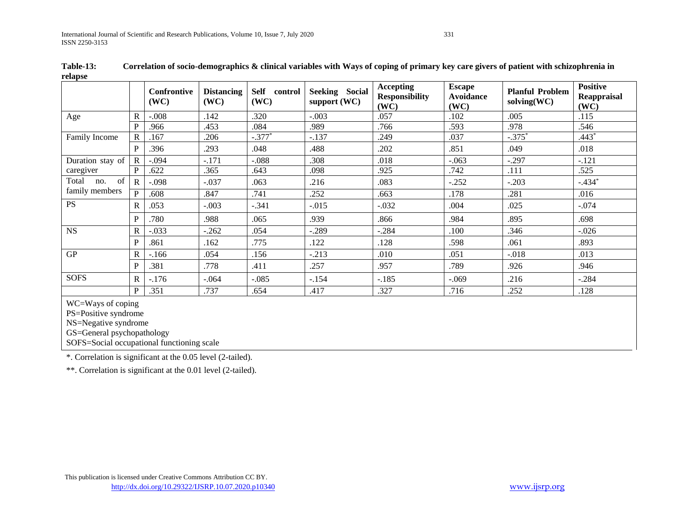| relapse                                                                                 |              |                     |                           |                         |                                |                                                   |                                           |                                                |                                        |
|-----------------------------------------------------------------------------------------|--------------|---------------------|---------------------------|-------------------------|--------------------------------|---------------------------------------------------|-------------------------------------------|------------------------------------------------|----------------------------------------|
|                                                                                         |              | Confrontive<br>(WC) | <b>Distancing</b><br>(WC) | Self<br>control<br>(WC) | Seeking Social<br>support (WC) | <b>Accepting</b><br><b>Responsibility</b><br>(WC) | <b>Escape</b><br><b>Avoidance</b><br>(WC) | <b>Planful Problem</b><br>$\text{solving}(WC)$ | <b>Positive</b><br>Reappraisal<br>(WC) |
| Age                                                                                     | $\mathbf R$  | $-.008$             | .142                      | .320                    | $-.003$                        | .057                                              | .102                                      | .005                                           | .115                                   |
|                                                                                         | P            | .966                | .453                      | .084                    | .989                           | .766                                              | .593                                      | .978                                           | .546                                   |
| Family Income                                                                           | $\mathbb{R}$ | .167                | .206                      | $-.377*$                | $-.137$                        | .249                                              | .037                                      | $-.375*$                                       | $.443*$                                |
|                                                                                         | P            | .396                | .293                      | .048                    | .488                           | .202                                              | .851                                      | .049                                           | .018                                   |
| Duration stay of                                                                        | $\mathbf R$  | $-.094$             | $-.171$                   | $-.088$                 | .308                           | .018                                              | $-.063$                                   | $-.297$                                        | $-.121$                                |
| caregiver                                                                               | P            | .622                | .365                      | .643                    | .098                           | .925                                              | .742                                      | .111                                           | .525                                   |
| of<br>Total<br>no.<br>family members                                                    | $\mathbf R$  | $-.098$             | $-.037$                   | .063                    | .216                           | .083                                              | $-.252$                                   | $-.203$                                        | $-.434*$                               |
|                                                                                         | P            | .608                | .847                      | .741                    | .252                           | .663                                              | .178                                      | .281                                           | .016                                   |
| <b>PS</b>                                                                               | R            | .053                | $-.003$                   | $-.341$                 | $-0.015$                       | $-.032$                                           | .004                                      | .025                                           | $-.074$                                |
|                                                                                         | P            | .780                | .988                      | .065                    | .939                           | .866                                              | .984                                      | .895                                           | .698                                   |
| <b>NS</b>                                                                               | R            | $-.033$             | $-.262$                   | .054                    | $-.289$                        | $-.284$                                           | .100                                      | .346                                           | $-.026$                                |
|                                                                                         | P            | .861                | .162                      | .775                    | .122                           | .128                                              | .598                                      | .061                                           | .893                                   |
| <b>GP</b>                                                                               | $\mathbf R$  | $-166$              | .054                      | .156                    | $-.213$                        | .010                                              | .051                                      | $-.018$                                        | .013                                   |
|                                                                                         | P            | .381                | .778                      | .411                    | .257                           | .957                                              | .789                                      | .926                                           | .946                                   |
| <b>SOFS</b>                                                                             | R            | $-.176$             | $-.064$                   | $-.085$                 | $-.154$                        | $-.185$                                           | $-.069$                                   | .216                                           | $-.284$                                |
|                                                                                         | $\mathbf{P}$ | .351                | .737                      | .654                    | .417                           | .327                                              | .716                                      | .252                                           | .128                                   |
| WC=Ways of coping<br>PS=Positive syndrome<br>NS=Negative syndrome<br>$70.7 \t1.1 \t1.1$ |              |                     |                           |                         |                                |                                                   |                                           |                                                |                                        |

**Table-13: Correlation of socio-demographics & clinical variables with Ways of coping of primary key care givers of patient with schizophrenia in relapse**

GS=General psychopathology

SOFS=Social occupational functioning scale

\*. Correlation is significant at the 0.05 level (2-tailed).

\*\*. Correlation is significant at the 0.01 level (2-tailed).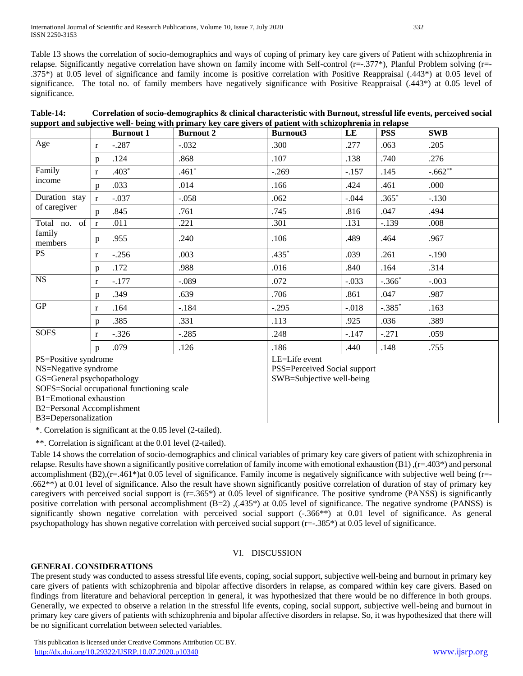International Journal of Scientific and Research Publications, Volume 10, Issue 7, July 2020 332 ISSN 2250-3153

Table 13 shows the correlation of socio-demographics and ways of coping of primary key care givers of Patient with schizophrenia in relapse. Significantly negative correlation have shown on family income with Self-control (r=-.377\*), Planful Problem solving (r=- .375\*) at 0.05 level of significance and family income is positive correlation with Positive Reappraisal (.443\*) at 0.05 level of significance. The total no. of family members have negatively significance with Positive Reappraisal (.443\*) at 0.05 level of significance.

| Table-14: | Correlation of socio-demographics & clinical characteristic with Burnout, stressful life events, perceived social |
|-----------|-------------------------------------------------------------------------------------------------------------------|
|           | support and subjective well- being with primary key care givers of patient with schizophrenia in relapse          |

| rrom man mang                 |              | <b>Burnout 1</b>                           | $\frac{1}{2}$ $\frac{1}{2}$ $\frac{1}{2}$ $\frac{1}{2}$ $\frac{1}{2}$ $\frac{1}{2}$ $\frac{1}{2}$ $\frac{1}{2}$ $\frac{1}{2}$ $\frac{1}{2}$ $\frac{1}{2}$ $\frac{1}{2}$ $\frac{1}{2}$ $\frac{1}{2}$ $\frac{1}{2}$ $\frac{1}{2}$ $\frac{1}{2}$ $\frac{1}{2}$ $\frac{1}{2}$ $\frac{1}{2}$ $\frac{1}{2}$ $\frac{1}{2}$<br><b>Burnout 2</b> | Burnout3                     | LE      | <b>PSS</b> | <b>SWB</b> |
|-------------------------------|--------------|--------------------------------------------|-----------------------------------------------------------------------------------------------------------------------------------------------------------------------------------------------------------------------------------------------------------------------------------------------------------------------------------------|------------------------------|---------|------------|------------|
| Age                           | $\mathbf{r}$ | $-.287$                                    | $-.032$                                                                                                                                                                                                                                                                                                                                 | .300                         | .277    | .063       | .205       |
|                               | p            | .124                                       | .868                                                                                                                                                                                                                                                                                                                                    | .107                         | .138    | .740       | .276       |
| Family                        | $\mathbf{r}$ | $.403*$                                    | $.461*$                                                                                                                                                                                                                                                                                                                                 | $-.269$                      | $-.157$ | .145       | $-.662**$  |
| income                        | p            | .033                                       | .014                                                                                                                                                                                                                                                                                                                                    | .166                         | .424    | .461       | .000       |
| Duration stay<br>of caregiver | $\mathbf{r}$ | $-.037$                                    | $-.058$                                                                                                                                                                                                                                                                                                                                 | .062                         | $-.044$ | $.365*$    | $-.130$    |
|                               | $\mathbf{p}$ | .845                                       | .761                                                                                                                                                                                                                                                                                                                                    | .745                         | .816    | .047       | .494       |
| Total no. of                  | $\mathbf{r}$ | .011                                       | .221                                                                                                                                                                                                                                                                                                                                    | .301                         | .131    | $-.139$    | .008       |
| family<br>members             | p            | .955                                       | .240                                                                                                                                                                                                                                                                                                                                    | .106                         | .489    | .464       | .967       |
| <b>PS</b>                     | $\mathbf{r}$ | $-.256$                                    | .003                                                                                                                                                                                                                                                                                                                                    | $.435*$                      | .039    | .261       | $-.190$    |
|                               | $\mathbf{p}$ | .172                                       | .988                                                                                                                                                                                                                                                                                                                                    | .016                         | .840    | .164       | .314       |
| <b>NS</b>                     | $\mathbf{r}$ | $-.177$                                    | $-.089$                                                                                                                                                                                                                                                                                                                                 | .072                         | $-.033$ | $-.366*$   | $-.003$    |
|                               | p            | .349                                       | .639                                                                                                                                                                                                                                                                                                                                    | .706                         | .861    | .047       | .987       |
| GP                            | $\mathbf{r}$ | .164                                       | $-.184$                                                                                                                                                                                                                                                                                                                                 | $-.295$                      | $-.018$ | $-.385*$   | .163       |
|                               | $\mathbf{p}$ | .385                                       | .331                                                                                                                                                                                                                                                                                                                                    | .113                         | .925    | .036       | .389       |
| <b>SOFS</b>                   | $\mathbf{r}$ | $-.326$                                    | $-.285$                                                                                                                                                                                                                                                                                                                                 | .248                         | $-.147$ | $-.271$    | .059       |
|                               | p            | .079                                       | .126                                                                                                                                                                                                                                                                                                                                    | .186                         | .440    | .148       | .755       |
| PS=Positive syndrome          |              |                                            |                                                                                                                                                                                                                                                                                                                                         | LE=Life event                |         |            |            |
| NS=Negative syndrome          |              |                                            |                                                                                                                                                                                                                                                                                                                                         | PSS=Perceived Social support |         |            |            |
| GS=General psychopathology    |              |                                            |                                                                                                                                                                                                                                                                                                                                         | SWB=Subjective well-being    |         |            |            |
|                               |              | SOFS=Social occupational functioning scale |                                                                                                                                                                                                                                                                                                                                         |                              |         |            |            |
| B1=Emotional exhaustion       |              |                                            |                                                                                                                                                                                                                                                                                                                                         |                              |         |            |            |
| B2=Personal Accomplishment    |              |                                            |                                                                                                                                                                                                                                                                                                                                         |                              |         |            |            |
| B3=Depersonalization          |              |                                            |                                                                                                                                                                                                                                                                                                                                         |                              |         |            |            |

\*. Correlation is significant at the 0.05 level (2-tailed).

\*\*. Correlation is significant at the 0.01 level (2-tailed).

Table 14 shows the correlation of socio-demographics and clinical variables of primary key care givers of patient with schizophrenia in relapse. Results have shown a significantly positive correlation of family income with emotional exhaustion (B1) ,(r=.403\*) and personal accomplishment (B2),(r=.461\*)at 0.05 level of significance. Family income is negatively significance with subjective well being (r=-.662 $**$ ) at 0.01 level of significance. Also the result have shown significantly positive correlation of duration of stay of primary key caregivers with perceived social support is  $(r=.365*)$  at 0.05 level of significance. The positive syndrome (PANSS) is significantly positive correlation with personal accomplishment  $(B=2)$ ,  $(.435*)$  at 0.05 level of significance. The negative syndrome (PANSS) is significantly shown negative correlation with perceived social support (-.366\*\*) at 0.01 level of significance. As general psychopathology has shown negative correlation with perceived social support (r=-.385\*) at 0.05 level of significance.

## VI. DISCUSSION

## **GENERAL CONSIDERATIONS**

The present study was conducted to assess stressful life events, coping, social support, subjective well-being and burnout in primary key care givers of patients with schizophrenia and bipolar affective disorders in relapse, as compared within key care givers. Based on findings from literature and behavioral perception in general, it was hypothesized that there would be no difference in both groups. Generally, we expected to observe a relation in the stressful life events, coping, social support, subjective well-being and burnout in primary key care givers of patients with schizophrenia and bipolar affective disorders in relapse. So, it was hypothesized that there will be no significant correlation between selected variables.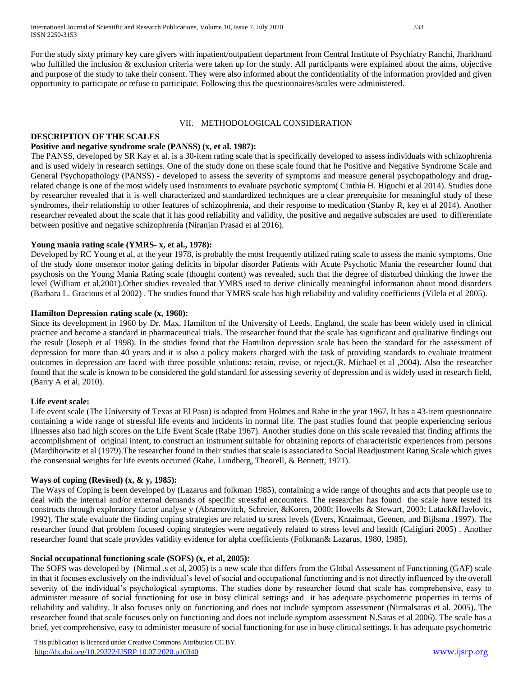For the study sixty primary key care givers with inpatient/outpatient department from Central Institute of Psychiatry Ranchi, Jharkhand who fulfilled the inclusion & exclusion criteria were taken up for the study. All participants were explained about the aims, objective and purpose of the study to take their consent. They were also informed about the confidentiality of the information provided and given opportunity to participate or refuse to participate. Following this the questionnaires/scales were administered.

#### VII. METHODOLOGICAL CONSIDERATION

#### **DESCRIPTION OF THE SCALES**

# **Positive and negative syndrome scale (PANSS) (x, et al. 1987):**

The PANSS, developed by SR Kay et al. is a 30-item rating scale that is specifically developed to assess individuals with schizophrenia and is used widely in research settings. One of the study done on these scale found that he Positive and Negative Syndrome Scale and General Psychopathology (PANSS) - developed to assess the severity of symptoms and measure general psychopathology and drugrelated change is one of the most widely used instruments to evaluate psychotic symptom( Cinthia H. Higuchi et al 2014). Studies done by researcher revealed that it is well characterized and standardized techniques are a clear prerequisite for meaningful study of these syndromes, their relationship to other features of schizophrenia, and their response to medication (Stanby R, key et al 2014). Another researcher revealed about the scale that it has good reliability and validity, the positive and negative subscales are used to differentiate between positive and negative schizophrenia (Niranjan Prasad et al 2016).

## **Young mania rating scale (YMRS- x, et al., 1978):**

Developed by RC Young et al, at the year 1978, is probably the most frequently utilized rating scale to assess the manic symptoms. One of the study done onsensor motor gating deficits in bipolar disorder Patients with Acute Psychotic Mania the researcher found that psychosis on the Young Mania Rating scale (thought content) was revealed, such that the degree of disturbed thinking the lower the level (William et al,2001).Other studies revealed that YMRS used to derive clinically meaningful information about mood disorders (Barbara L. Gracious et al 2002) . The studies found that YMRS scale has high reliability and validity coefficients (Vilela et al 2005).

#### **Hamilton Depression rating scale (x, 1960):**

Since its development in 1960 by Dr. Max. Hamilton of the University of Leeds, England, the scale has been widely used in clinical practice and become a standard in pharmaceutical trials. The researcher found that the scale has significant and qualitative findings out the result (Joseph et al 1998). In the studies found that the Hamilton depression scale has been the standard for the assessment of depression for more than 40 years and it is also a policy makers charged with the task of providing standards to evaluate treatment outcomes in depression are faced with three possible solutions: retain, revise, or reject,(R. Michael et al ,2004). Also the researcher found that the scale is known to be considered the gold standard for assessing severity of depression and is widely used in research field, (Barry A et al, 2010).

## **Life event scale:**

Life event scale (The University of Texas at El Paso) is adapted from Holmes and Rabe in the year 1967. It has a 43-item questionnaire containing a wide range of stressful life events and incidents in normal life. The past studies found that people experiencing serious illnesses also had high scores on the Life Event Scale (Rabe 1967). Another studies done on this scale revealed that finding affirms the accomplishment of original intent, to construct an instrument suitable for obtaining reports of characteristic experiences from persons (Mardihorwitz et al (1979).The researcher found in their studies that scale is associated to Social Readjustment Rating Scale which gives the consensual weights for life events occurred (Rahe, Lundberg, Theorell, & Bennett, 1971).

## **Ways of coping (Revised) (x, & y, 1985):**

The Ways of Coping is been developed by (Lazarus and folkman 1985), containing a wide range of thoughts and acts that people use to deal with the internal and/or external demands of specific stressful encounters. The researcher has found the scale have tested its constructs through exploratory factor analyse y (Abramovitch, Schreier, &Koren, 2000; Howells & Stewart, 2003; Latack&Havlovic, 1992). The scale evaluate the finding coping strategies are related to stress levels (Evers, Kraaimaat, Geenen, and Bijlsma ,1997). The researcher found that problem focused coping strategies were negatively related to stress level and health (Caligiuri 2005) . Another researcher found that scale provides validity evidence for alpha coefficients (Folkman& Lazarus, 1980, 1985).

## **Social occupational functioning scale (SOFS) (x, et al, 2005):**

The SOFS was developed by (Nirmal .s et al, 2005) is a new scale that differs from the Global Assessment of Functioning (GAF) scale in that it focuses exclusively on the individual's level of social and occupational functioning and is not directly influenced by the overall severity of the individual's psychological symptoms. The studies done by researcher found that scale has comprehensive, easy to administer measure of social functioning for use in busy clinical settings and it has adequate psychometric properties in terms of reliability and validity. It also focuses only on functioning and does not include symptom assessment (Nirmalsaras et al. 2005). The researcher found that scale focuses only on functioning and does not include symptom assessment N.Saras et al 2006). The scale has a brief, yet comprehensive, easy to administer measure of social functioning for use in busy clinical settings. It has adequate psychometric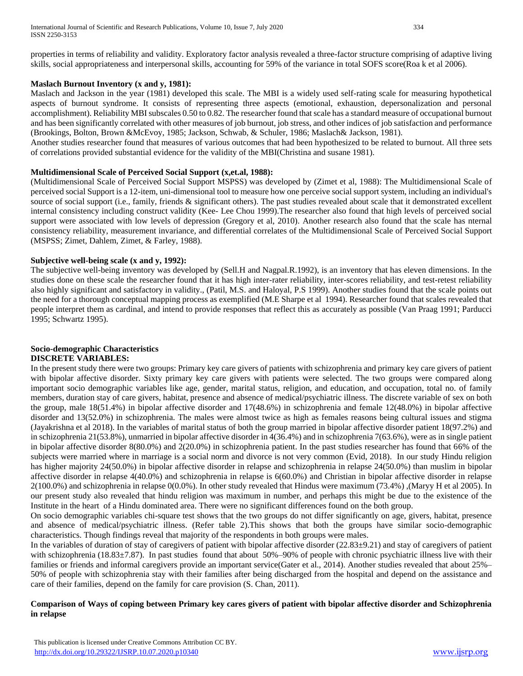properties in terms of reliability and validity. Exploratory factor analysis revealed a three-factor structure comprising of adaptive living skills, social appropriateness and interpersonal skills, accounting for 59% of the variance in total SOFS score(Roa k et al 2006).

# **Maslach Burnout Inventory (x and y, 1981):**

Maslach and Jackson in the year (1981) developed this scale. The MBI is a widely used self-rating scale for measuring hypothetical aspects of burnout syndrome. It consists of representing three aspects (emotional, exhaustion, depersonalization and personal accomplishment). Reliability MBI subscales 0.50 to 0.82. The researcher found that scale has a standard measure of occupational burnout and has been significantly correlated with other measures of job burnout, job stress, and other indices of job satisfaction and performance (Brookings, Bolton, Brown &McEvoy, 1985; Jackson, Schwab, & Schuler, 1986; Maslach& Jackson, 1981).

Another studies researcher found that measures of various outcomes that had been hypothesized to be related to burnout. All three sets of correlations provided substantial evidence for the validity of the MBI(Christina and susane 1981).

# **Multidimensional Scale of Perceived Social Support (x,et.al, 1988):**

(Multidimensional Scale of Perceived Social Support MSPSS) was developed by (Zimet et al, 1988): The Multidimensional Scale of perceived social Support is a 12-item, uni-dimensional tool to measure how one perceive social support system, including an individual's source of social support (i.e., family, friends & significant others). The past studies revealed about scale that it demonstrated excellent internal consistency including construct validity (Kee- Lee Chou 1999).The researcher also found that high levels of perceived social support were associated with low levels of depression (Gregory et al, 2010). Another research also found that the scale has nternal consistency reliability, measurement invariance, and differential correlates of the Multidimensional Scale of Perceived Social Support (MSPSS; Zimet, Dahlem, Zimet, & Farley, 1988).

# **Subjective well-being scale (x and y, 1992):**

The subjective well-being inventory was developed by (Sell.H and Nagpal.R.1992), is an inventory that has eleven dimensions. In the studies done on these scale the researcher found that it has high inter-rater reliability, inter-scores reliability, and test-retest reliability also highly significant and satisfactory in validity., (Patil, M.S. and Haloyal, P.S 1999). Another studies found that the scale points out the need for a thorough conceptual mapping process as exemplified (M.E Sharpe et al 1994). Researcher found that scales revealed that people interpret them as cardinal, and intend to provide responses that reflect this as accurately as possible (Van Praag 1991; Parducci 1995; Schwartz 1995).

#### **Socio-demographic Characteristics DISCRETE VARIABLES:**

In the present study there were two groups: Primary key care givers of patients with schizophrenia and primary key care givers of patient with bipolar affective disorder. Sixty primary key care givers with patients were selected. The two groups were compared along important socio demographic variables like age, gender, marital status, religion, and education, and occupation, total no. of family members, duration stay of care givers, habitat, presence and absence of medical/psychiatric illness. The discrete variable of sex on both the group, male 18(51.4%) in bipolar affective disorder and 17(48.6%) in schizophrenia and female 12(48.0%) in bipolar affective disorder and 13(52.0%) in schizophrenia. The males were almost twice as high as females reasons being cultural issues and stigma (Jayakrishna et al 2018). In the variables of marital status of both the group married in bipolar affective disorder patient 18(97.2%) and in schizophrenia 21(53.8%), unmarried in bipolar affective disorder in 4(36.4%) and in schizophrenia 7(63.6%), were as in single patient in bipolar affective disorder 8(80.0%) and 2(20.0%) in schizophrenia patient. In the past studies researcher has found that 66% of the subjects were married where in marriage is a social norm and divorce is not very common (Evid, 2018). In our study Hindu religion has higher majority 24(50.0%) in bipolar affective disorder in relapse and schizophrenia in relapse 24(50.0%) than muslim in bipolar affective disorder in relapse 4(40.0%) and schizophrenia in relapse is 6(60.0%) and Christian in bipolar affective disorder in relapse 2(100.0%) and schizophrenia in relapse 0(0.0%). In other study revealed that Hindus were maximum (73.4%) ,(Maryy H et al 2005). In our present study also revealed that hindu religion was maximum in number, and perhaps this might be due to the existence of the Institute in the heart of a Hindu dominated area. There were no significant differences found on the both group.

On socio demographic variables chi-square test shows that the two groups do not differ significantly on age, givers, habitat, presence and absence of medical/psychiatric illness. (Refer table 2).This shows that both the groups have similar socio-demographic characteristics. Though findings reveal that majority of the respondents in both groups were males.

In the variables of duration of stay of caregivers of patient with bipolar affective disorder (22.83±9.21) and stay of caregivers of patient with schizophrenia (18.83±7.87). In past studies found that about 50%–90% of people with chronic psychiatric illness live with their families or friends and informal caregivers provide an important service(Gater et al., 2014). Another studies revealed that about 25%– 50% of people with schizophrenia stay with their families after being discharged from the hospital and depend on the assistance and care of their families, depend on the family for care provision (S. Chan, 2011).

## **Comparison of Ways of coping between Primary key cares givers of patient with bipolar affective disorder and Schizophrenia in relapse**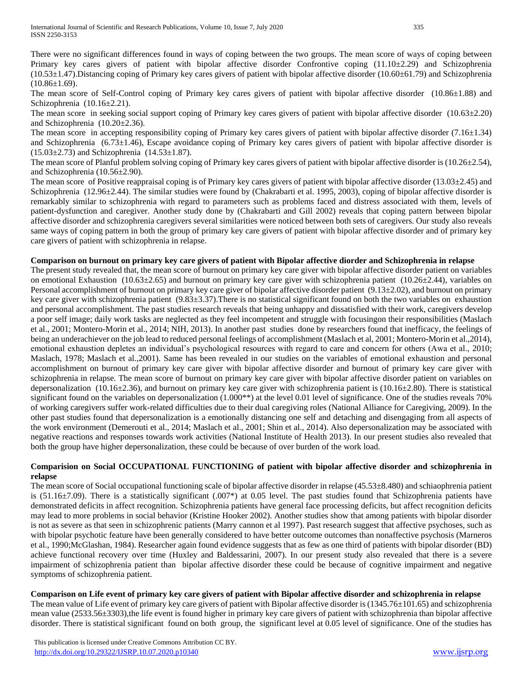There were no significant differences found in ways of coping between the two groups. The mean score of ways of coping between Primary key cares givers of patient with bipolar affective disorder Confrontive coping (11.10±2.29) and Schizophrenia (10.53±1.47).Distancing coping of Primary key cares givers of patient with bipolar affective disorder (10.60±61.79) and Schizophrenia  $(10.86 \pm 1.69)$ .

The mean score of Self-Control coping of Primary key cares givers of patient with bipolar affective disorder (10.86 $\pm$ 1.88) and Schizophrenia (10.16±2.21).

The mean score in seeking social support coping of Primary key cares givers of patient with bipolar affective disorder  $(10.63\pm2.20)$ and Schizophrenia (10.20±2.36).

The mean score in accepting responsibility coping of Primary key cares givers of patient with bipolar affective disorder (7.16±1.34) and Schizophrenia  $(6.73\pm1.46)$ , Escape avoidance coping of Primary key cares givers of patient with bipolar affective disorder is  $(15.03 \pm 2.73)$  and Schizophrenia  $(14.53 \pm 1.87)$ .

The mean score of Planful problem solving coping of Primary key cares givers of patient with bipolar affective disorder is  $(10.26\pm 2.54)$ , and Schizophrenia (10.56±2.90).

The mean score of Positive reappraisal coping is of Primary key cares givers of patient with bipolar affective disorder  $(13.03\pm 2.45)$  and Schizophrenia (12.96±2.44). The similar studies were found by (Chakrabarti et al. 1995, 2003), coping of bipolar affective disorder is remarkably similar to schizophrenia with regard to parameters such as problems faced and distress associated with them, levels of patient-dysfunction and caregiver. Another study done by (Chakrabarti and Gill 2002) reveals that coping pattern between bipolar affective disorder and schizophrenia caregivers several similarities were noticed between both sets of caregivers. Our study also reveals same ways of coping pattern in both the group of primary key care givers of patient with bipolar affective disorder and of primary key care givers of patient with schizophrenia in relapse.

# **Comparison on burnout on primary key care givers of patient with Bipolar affective diorder and Schizophrenia in relapse**

The present study revealed that, the mean score of burnout on primary key care giver with bipolar affective disorder patient on variables on emotional Exhaustion (10.63±2.65) and burnout on primary key care giver with schizophrenia patient (10.26±2.44), variables on Personal accomplishment of burnout on primary key care giver of bipolar affective disorder patient (9.13±2.02), and burnout on primary key care giver with schizophrenia patient (9.83±3.37).There is no statistical significant found on both the two variables on exhaustion and personal accomplishment. The past studies research reveals that being unhappy and dissatisfied with their work, caregivers develop a poor self image; daily work tasks are neglected as they feel incompetent and struggle with focusingon their responsibilities (Maslach et al., 2001; Montero-Morin et al., 2014; NIH, 2013). In another past studies done by researchers found that inefficacy, the feelings of being an underachiever on the job lead to reduced personal feelings of accomplishment (Maslach et al, 2001; Montero-Morin et al.,2014), emotional exhaustion depletes an individual's psychological resources with regard to care and concern for others (Awa et al., 2010; Maslach, 1978; Maslach et al.,2001). Same has been revealed in our studies on the variables of emotional exhaustion and personal accomplishment on burnout of primary key care giver with bipolar affective disorder and burnout of primary key care giver with schizophrenia in relapse. The mean score of burnout on primary key care giver with bipolar affective disorder patient on variables on depersonalization (10.16 $\pm$ 2.36), and burnout on primary key care giver with schizophrenia patient is (10.16 $\pm$ 2.80). There is statistical significant found on the variables on depersonalization  $(1.000**)$  at the level 0.01 level of significance. One of the studies reveals 70% of working caregivers suffer work-related difficulties due to their dual caregiving roles (National Alliance for Caregiving, 2009). In the other past studies found that depersonalization is a emotionally distancing one self and detaching and disengaging from all aspects of the work environment (Demerouti et al., 2014; Maslach et al., 2001; Shin et al., 2014). Also depersonalization may be associated with negative reactions and responses towards work activities (National Institute of Health 2013). In our present studies also revealed that both the group have higher depersonalization, these could be because of over burden of the work load.

# **Comparision on Social OCCUPATIONAL FUNCTIONING of patient with bipolar affective disorder and schizophrenia in relapse**

The mean score of Social occupational functioning scale of bipolar affective disorder in relapse (45.53±8.480) and schiaophrenia patient is (51.16±7.09). There is a statistically significant (.007\*) at 0.05 level. The past studies found that Schizophrenia patients have demonstrated deficits in affect recognition. Schizophrenia patients have general face processing deficits, but affect recognition deficits may lead to more problems in social behavior (Kristine Hooker 2002). Another studies show that among patients with bipolar disorder is not as severe as that seen in schizophrenic patients (Marry cannon et al 1997). Past research suggest that affective psychoses, such as with bipolar psychotic feature have been generally considered to have better outcome outcomes than nonaffective psychosis (Marneros et al., 1990;McGlashan, 1984). Researcher again found evidence suggests that as few as one third of patients with bipolar disorder (BD) achieve functional recovery over time (Huxley and Baldessarini, 2007). In our present study also revealed that there is a severe impairment of schizophrenia patient than bipolar affective disorder these could be because of cognitive impairment and negative symptoms of schizophrenia patient.

**Comparison on Life event of primary key care givers of patient with Bipolar affective disorder and schizophrenia in relapse**

The mean value of Life event of primary key care givers of patient with Bipolar affective disorder is (1345.76±101.65) and schizophrenia mean value (2533.56±3303),the life event is found higher in primary key care givers of patient with schizophrenia than bipolar affective disorder. There is statistical significant found on both group, the significant level at 0.05 level of significance. One of the studies has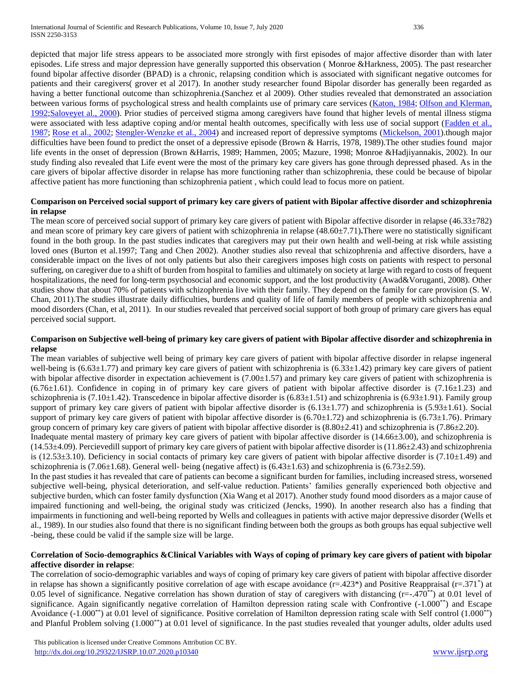depicted that major life stress appears to be associated more strongly with first episodes of major affective disorder than with later episodes. Life stress and major depression have generally supported this observation ( Monroe &Harkness, 2005). The past researcher found bipolar affective disorder (BPAD) is a chronic, relapsing condition which is associated with significant negative outcomes for patients and their caregivers( grover et al 2017). In another study researcher found Bipolar disorder has generally been regarded as having a better functional outcome than schizophrenia.(Sanchez et al 2009). Other studies revealed that demonstrated an association between various forms of psychological stress and health complaints use of primary care services [\(Katon, 1984;](https://www.ncbi.nlm.nih.gov/pmc/articles/PMC4006696/#R14) [Olfson and Klerman,](https://www.ncbi.nlm.nih.gov/pmc/articles/PMC4006696/#R24)  [1992;](https://www.ncbi.nlm.nih.gov/pmc/articles/PMC4006696/#R24)[Saloveyet al., 2000\)](https://www.ncbi.nlm.nih.gov/pmc/articles/PMC4006696/#R38). Prior studies of perceived stigma among caregivers have found that higher levels of mental illness stigma were associated with less adaptive coping and/or mental health outcomes, specifically with less use of social support (Fadden et al., [1987;](https://www.ncbi.nlm.nih.gov/pmc/articles/PMC4006696/#R8) [Rose et al., 2002;](https://www.ncbi.nlm.nih.gov/pmc/articles/PMC4006696/#R36) [Stengler-Wenzke et al., 2004\)](https://www.ncbi.nlm.nih.gov/pmc/articles/PMC4006696/#R42) and increased report of depressive symptoms [\(Mickelson, 2001\)](https://www.ncbi.nlm.nih.gov/pmc/articles/PMC4006696/#R21).though major difficulties have been found to predict the onset of a depressive episode (Brown & Harris, 1978, 1989). The other studies found major life events in the onset of depression (Brown &Harris, 1989; Hammen, 2005; Mazure, 1998; Monroe &Hadjiyannakis, 2002). In our study finding also revealed that Life event were the most of the primary key care givers has gone through depressed phased. As in the care givers of bipolar affective disorder in relapse has more functioning rather than schizophrenia, these could be because of bipolar affective patient has more functioning than schizophrenia patient , which could lead to focus more on patient.

# **Comparison on Perceived social support of primary key care givers of patient with Bipolar affective disorder and schizophrenia in relapse**

The mean score of perceived social support of primary key care givers of patient with Bipolar affective disorder in relapse (46.33±782) and mean score of primary key care givers of patient with schizophrenia in relapse (48.60±7.71)**.**There were no statistically significant found in the both group. In the past studies indicates that caregivers may put their own health and well-being at risk while assisting loved ones (Burton et al.1997; Tang and Chen 2002). Another studies also reveal that schizophrenia and affective disorders, have a considerable impact on the lives of not only patients but also their caregivers imposes high costs on patients with respect to personal suffering, on caregiver due to a shift of burden from hospital to families and ultimately on society at large with regard to costs of frequent hospitalizations, the need for long-term psychosocial and economic support, and the lost productivity (Awad&Voruganti, 2008). Other studies show that about 70% of patients with schizophrenia live with their family. They depend on the family for care provision (S. W. Chan, 2011).The studies illustrate daily difficulties, burdens and quality of life of family members of people with schizophrenia and mood disorders (Chan, et al, 2011). In our studies revealed that perceived social support of both group of primary care givers has equal perceived social support.

#### **Comparison on Subjective well-being of primary key care givers of patient with Bipolar affective disorder and schizophrenia in relapse**

The mean variables of subjective well being of primary key care givers of patient with bipolar affective disorder in relapse ingeneral well-being is  $(6.63\pm1.77)$  and primary key care givers of patient with schizophrenia is  $(6.33\pm1.42)$  primary key care givers of patient with bipolar affective disorder in expectation achievement is (7.00±1.57) and primary key care givers of patient with schizophrenia is  $(6.76\pm1.61)$ . Confidence in coping in of primary key care givers of patient with bipolar affective disorder is  $(7.16\pm1.23)$  and schizophrenia is (7.10±1.42). Transcedence in bipolar affective disorder is (6.83±1.51) and schizophrenia is (6.93±1.91). Family group support of primary key care givers of patient with bipolar affective disorder is  $(6.13\pm1.77)$  and schizophrenia is  $(5.93\pm1.61)$ . Social support of primary key care givers of patient with bipolar affective disorder is  $(6.70\pm1.72)$  and schizophrenia is  $(6.73\pm1.76)$ . Primary group concern of primary key care givers of patient with bipolar affective disorder is (8.80±2.41) and schizophrenia is (7.86±2.20).

Inadequate mental mastery of primary key care givers of patient with bipolar affective disorder is (14.66±3.00), and schizophrenia is  $(14.53±4.09)$ . Percievedill support of primary key care givers of patient with bipolar affective disorder is  $(11.86±2.43)$  and schizophrenia is (12.53 $\pm$ 3.10). Deficiency in social contacts of primary key care givers of patient with bipolar affective disorder is (7.10 $\pm$ 1.49) and schizophrenia is (7.06 $\pm$ 1.68). General well- being (negative affect) is (6.43 $\pm$ 1.63) and schizophrenia is (6.73 $\pm$ 2.59).

In the past studies it has revealed that care of patients can become a significant burden for families, including increased stress, worsened subjective well-being, physical deterioration, and self-value reduction. Patients' families generally experienced both objective and subjective burden, which can foster family dysfunction (Xia Wang et al 2017). Another study found mood disorders as a major cause of impaired functioning and well-being, the original study was criticized (Jencks, 1990). In another research also has a finding that impairments in functioning and well-being reported by Wells and colleagues in patients with active major depressive disorder (Wells et al., 1989). In our studies also found that there is no significant finding between both the groups as both groups has equal subjective well -being, these could be valid if the sample size will be large.

## **Correlation of Socio-demographics &Clinical Variables with Ways of coping of primary key care givers of patient with bipolar affective disorder in relapse**:

The correlation of socio-demographic variables and ways of coping of primary key care givers of patient with bipolar affective disorder in relapse has shown a significantly positive correlation of age with escape avoidance (r=.423\*) and Positive Reappraisal (r=.371<sup>\*</sup>) at 0.05 level of significance. Negative correlation has shown duration of stay of caregivers with distancing  $(r=-.470^{**})$  at 0.01 level of significance. Again significantly negative correlation of Hamilton depression rating scale with Confrontive  $(-1.000^{**})$  and Escape Avoidance (-1.000<sup>\*\*</sup>) at 0.01 level of significance. Positive correlation of Hamilton depression rating scale with Self control (1.000<sup>\*\*</sup>) and Planful Problem solving (1.000\*\*) at 0.01 level of significance. In the past studies revealed that younger adults, older adults used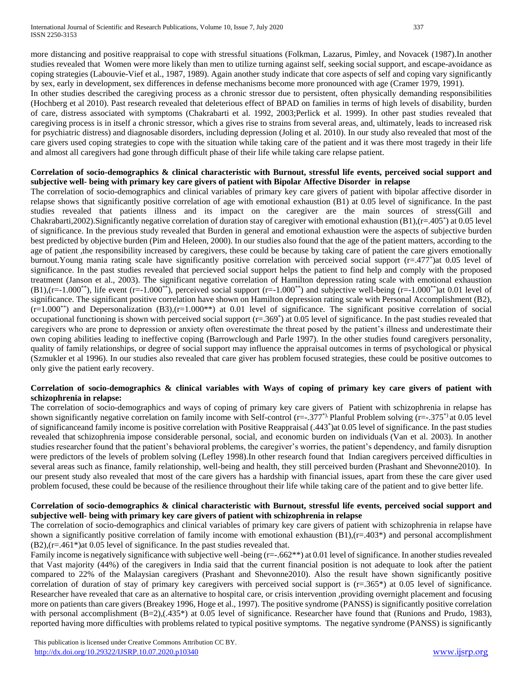more distancing and positive reappraisal to cope with stressful situations (Folkman, Lazarus, Pimley, and Novacek (1987).In another studies revealed that Women were more likely than men to utilize turning against self, seeking social support, and escape-avoidance as coping strategies (Labouvie-Vief et al., 1987, 1989). Again another study indicate that core aspects of self and coping vary significantly by sex, early in development, sex differences in defense mechanisms become more pronounced with age (Cramer 1979, 1991).

In other studies described the caregiving process as a chronic stressor due to persistent, often physically demanding responsibilities (Hochberg et al 2010). Past research revealed that deleterious effect of BPAD on families in terms of high levels of disability, burden of care, distress associated with symptoms (Chakrabarti et al. 1992, 2003;Perlick et al. 1999). In other past studies revealed that caregiving process is in itself a chronic stressor, which a gives rise to strains from several areas, and, ultimately, leads to increased risk for psychiatric distress) and diagnosable disorders, including depression (Joling et al. 2010). In our study also revealed that most of the care givers used coping strategies to cope with the situation while taking care of the patient and it was there most tragedy in their life and almost all caregivers had gone through difficult phase of their life while taking care relapse patient.

## **Correlation of socio-demographics & clinical characteristic with Burnout, stressful life events, perceived social support and subjective well- being with primary key care givers of patient with Bipolar Affective Disorder in relapse**

The correlation of socio-demographics and clinical variables of primary key care givers of patient with bipolar affective disorder in relapse shows that significantly positive correlation of age with emotional exhaustion (B1) at 0.05 level of significance. In the past studies revealed that patients illness and its impact on the caregiver are the main sources of stress(Gill and Chakrabarti,2002).Significantly negative correlation of duration stay of caregiver with emotional exhaustion (B1),(r=.405\* ) at 0.05 level of significance. In the previous study revealed that Burden in general and emotional exhaustion were the aspects of subjective burden best predicted by objective burden (Pim and Heleen, 2000). In our studies also found that the age of the patient matters, according to the age of patient ,the responsibility increased by caregivers, these could be because by taking care of patient the care givers emotionally burnout. Young mania rating scale have significantly positive correlation with perceived social support (r=.477\*) at 0.05 level of significance. In the past studies revealed that percieved social support helps the patient to find help and comply with the proposed treatment (Janson et al., 2003). The significant negative correlation of Hamilton depression rating scale with emotional exhaustion  $(B1)$ ,(r=-1.000<sup>\*\*</sup>), life event (r=-1.000<sup>\*\*</sup>), perceived social support (r=-1.000<sup>\*\*</sup>)</sup> and subjective well-being (r=-1.000<sup>\*\*</sup>)at 0.01 level of significance. The significant positive correlation have shown on Hamilton depression rating scale with Personal Accomplishment (B2),  $(r=1.000^{**})$  and Depersonalization (B3), $(r=1.000^{**})$  at 0.01 level of significance. The significant positive correlation of social occupational functioning is shown with perceived social support (r=.369<sup>\*</sup>) at 0.05 level of significance. In the past studies revealed that caregivers who are prone to depression or anxiety often overestimate the threat posed by the patient's illness and underestimate their own coping abilities leading to ineffective coping (Barrowclough and Parle 1997). In the other studies found caregivers personality, quality of family relationships, or degree of social support may influence the appraisal outcomes in terms of psychological or physical (Szmukler et al 1996). In our studies also revealed that care giver has problem focused strategies, these could be positive outcomes to only give the patient early recovery.

## **Correlation of socio-demographics & clinical variables with Ways of coping of primary key care givers of patient with schizophrenia in relapse:**

The correlation of socio-demographics and ways of coping of primary key care givers of Patient with schizophrenia in relapse has shown significantly negative correlation on family income with Self-control ( $r=-.377$ <sup>\*),</sup> Planful Problem solving ( $r=-.375$ <sup>\*)</sup> at 0.05 level of significanceand family income is positive correlation with Positive Reappraisal (.443\* )at 0.05 level of significance. In the past studies revealed that schizophrenia impose considerable personal, social, and economic burden on individuals (Van et al. 2003). In another studies researcher found that the patient's behavioral problems, the caregiver's worries, the patient's dependency, and family disruption were predictors of the levels of problem solving (Lefley 1998).In other research found that Indian caregivers perceived difficulties in several areas such as finance, family relationship, well-being and health, they still perceived burden (Prashant and Shevonne2010). In our present study also revealed that most of the care givers has a hardship with financial issues, apart from these the care giver used problem focused, these could be because of the resilience throughout their life while taking care of the patient and to give better life.

## **Correlation of socio-demographics & clinical characteristic with Burnout, stressful life events, perceived social support and subjective well- being with primary key care givers of patient with schizophrenia in relapse**

The correlation of socio-demographics and clinical variables of primary key care givers of patient with schizophrenia in relapse have shown a significantly positive correlation of family income with emotional exhaustion  $(B1)$ ,  $(r=.403*)$  and personal accomplishment (B2),(r=.461\*)at 0.05 level of significance. In the past studies revealed that.

Family income is negatively significance with subjective well-being (r=-.662<sup>\*\*</sup>) at 0.01 level of significance. In another studies revealed that Vast majority (44%) of the caregivers in India said that the current financial position is not adequate to look after the patient compared to 22% of the Malaysian caregivers (Prashant and Shevonne2010). Also the result have shown significantly positive correlation of duration of stay of primary key caregivers with perceived social support is (r=.365\*) at 0.05 level of significance. Researcher have revealed that care as an alternative to hospital care, or crisis intervention ,providing overnight placement and focusing more on patients than care givers (Breakey 1996, Hoge et al., 1997). The positive syndrome (PANSS) is significantly positive correlation with personal accomplishment (B=2),(.435\*) at 0.05 level of significance. Researcher have found that (Runions and Prudo, 1983), reported having more difficulties with problems related to typical positive symptoms. The negative syndrome (PANSS) is significantly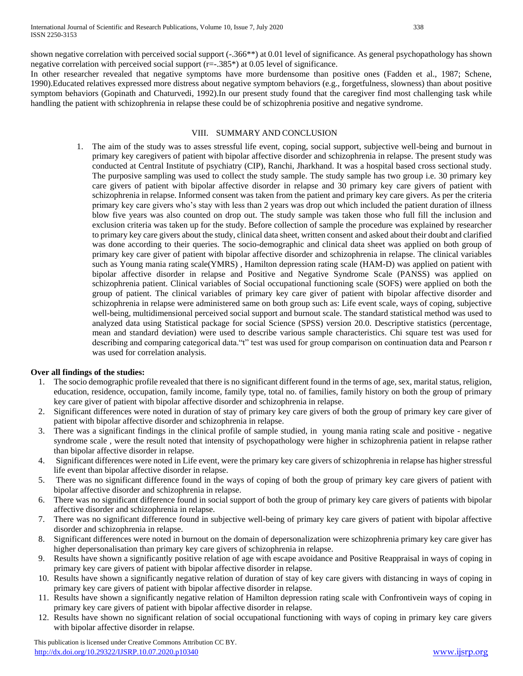shown negative correlation with perceived social support (-.366\*\*) at 0.01 level of significance. As general psychopathology has shown negative correlation with perceived social support  $(r=-.385*)$  at 0.05 level of significance.

In other researcher revealed that negative symptoms have more burdensome than positive ones (Fadden et al., 1987; Schene, 1990).Educated relatives expressed more distress about negative symptom behaviors (e.g., forgetfulness, slowness) than about positive symptom behaviors (Gopinath and Chaturvedi, 1992).In our present study found that the caregiver find most challenging task while handling the patient with schizophrenia in relapse these could be of schizophrenia positive and negative syndrome.

#### VIII. SUMMARY AND CONCLUSION

1. The aim of the study was to asses stressful life event, coping, social support, subjective well-being and burnout in primary key caregivers of patient with bipolar affective disorder and schizophrenia in relapse. The present study was conducted at Central Institute of psychiatry (CIP), Ranchi, Jharkhand. It was a hospital based cross sectional study. The purposive sampling was used to collect the study sample. The study sample has two group i.e. 30 primary key care givers of patient with bipolar affective disorder in relapse and 30 primary key care givers of patient with schizophrenia in relapse. Informed consent was taken from the patient and primary key care givers. As per the criteria primary key care givers who's stay with less than 2 years was drop out which included the patient duration of illness blow five years was also counted on drop out. The study sample was taken those who full fill the inclusion and exclusion criteria was taken up for the study. Before collection of sample the procedure was explained by researcher to primary key care givers about the study, clinical data sheet, written consent and asked about their doubt and clarified was done according to their queries. The socio-demographic and clinical data sheet was applied on both group of primary key care giver of patient with bipolar affective disorder and schizophrenia in relapse. The clinical variables such as Young mania rating scale(YMRS) , Hamilton depression rating scale (HAM-D) was applied on patient with bipolar affective disorder in relapse and Positive and Negative Syndrome Scale (PANSS) was applied on schizophrenia patient. Clinical variables of Social occupational functioning scale (SOFS) were applied on both the group of patient. The clinical variables of primary key care giver of patient with bipolar affective disorder and schizophrenia in relapse were administered same on both group such as: Life event scale, ways of coping, subjective well-being, multidimensional perceived social support and burnout scale. The standard statistical method was used to analyzed data using Statistical package for social Science (SPSS) version 20.0. Descriptive statistics (percentage, mean and standard deviation) were used to describe various sample characteristics. Chi square test was used for describing and comparing categorical data."t" test was used for group comparison on continuation data and Pearson r was used for correlation analysis.

## **Over all findings of the studies:**

- 1. The socio demographic profile revealed that there is no significant different found in the terms of age, sex, marital status, religion, education, residence, occupation, family income, family type, total no. of families, family history on both the group of primary key care giver of patient with bipolar affective disorder and schizophrenia in relapse.
- 2. Significant differences were noted in duration of stay of primary key care givers of both the group of primary key care giver of patient with bipolar affective disorder and schizophrenia in relapse.
- 3. There was a significant findings in the clinical profile of sample studied, in young mania rating scale and positive negative syndrome scale , were the result noted that intensity of psychopathology were higher in schizophrenia patient in relapse rather than bipolar affective disorder in relapse.
- 4. Significant differences were noted in Life event, were the primary key care givers of schizophrenia in relapse has higher stressful life event than bipolar affective disorder in relapse.
- 5. There was no significant difference found in the ways of coping of both the group of primary key care givers of patient with bipolar affective disorder and schizophrenia in relapse.
- 6. There was no significant difference found in social support of both the group of primary key care givers of patients with bipolar affective disorder and schizophrenia in relapse.
- 7. There was no significant difference found in subjective well-being of primary key care givers of patient with bipolar affective disorder and schizophrenia in relapse.
- 8. Significant differences were noted in burnout on the domain of depersonalization were schizophrenia primary key care giver has higher depersonalisation than primary key care givers of schizophrenia in relapse.
- 9. Results have shown a significantly positive relation of age with escape avoidance and Positive Reappraisal in ways of coping in primary key care givers of patient with bipolar affective disorder in relapse.
- 10. Results have shown a significantly negative relation of duration of stay of key care givers with distancing in ways of coping in primary key care givers of patient with bipolar affective disorder in relapse.
- 11. Results have shown a significantly negative relation of Hamilton depression rating scale with Confrontivein ways of coping in primary key care givers of patient with bipolar affective disorder in relapse.
- 12. Results have shown no significant relation of social occupational functioning with ways of coping in primary key care givers with bipolar affective disorder in relapse.

 This publication is licensed under Creative Commons Attribution CC BY. <http://dx.doi.org/10.29322/IJSRP.10.07.2020.p10340> [www.ijsrp.org](http://ijsrp.org/)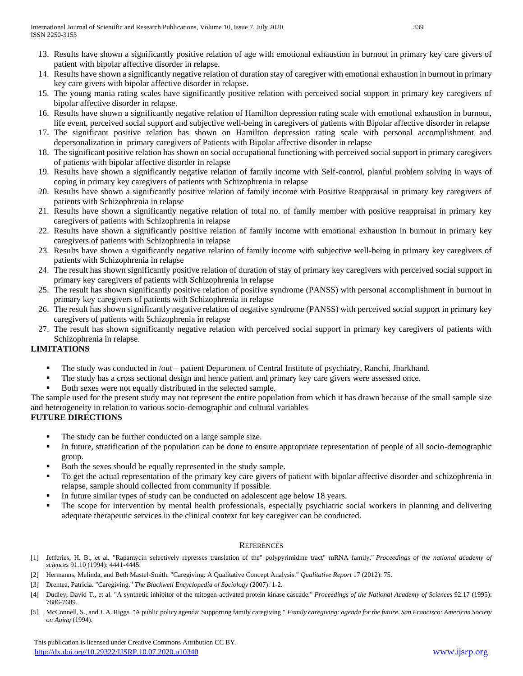- 13. Results have shown a significantly positive relation of age with emotional exhaustion in burnout in primary key care givers of patient with bipolar affective disorder in relapse.
- 14. Results have shown a significantly negative relation of duration stay of caregiver with emotional exhaustion in burnout in primary key care givers with bipolar affective disorder in relapse.
- 15. The young mania rating scales have significantly positive relation with perceived social support in primary key caregivers of bipolar affective disorder in relapse.
- 16. Results have shown a significantly negative relation of Hamilton depression rating scale with emotional exhaustion in burnout, life event, perceived social support and subjective well-being in caregivers of patients with Bipolar affective disorder in relapse
- 17. The significant positive relation has shown on Hamilton depression rating scale with personal accomplishment and depersonalization in primary caregivers of Patients with Bipolar affective disorder in relapse
- 18. The significant positive relation has shown on social occupational functioning with perceived social support in primary caregivers of patients with bipolar affective disorder in relapse
- 19. Results have shown a significantly negative relation of family income with Self-control, planful problem solving in ways of coping in primary key caregivers of patients with Schizophrenia in relapse
- 20. Results have shown a significantly positive relation of family income with Positive Reappraisal in primary key caregivers of patients with Schizophrenia in relapse
- 21. Results have shown a significantly negative relation of total no. of family member with positive reappraisal in primary key caregivers of patients with Schizophrenia in relapse
- 22. Results have shown a significantly positive relation of family income with emotional exhaustion in burnout in primary key caregivers of patients with Schizophrenia in relapse
- 23. Results have shown a significantly negative relation of family income with subjective well-being in primary key caregivers of patients with Schizophrenia in relapse
- 24. The result has shown significantly positive relation of duration of stay of primary key caregivers with perceived social support in primary key caregivers of patients with Schizophrenia in relapse
- 25. The result has shown significantly positive relation of positive syndrome (PANSS) with personal accomplishment in burnout in primary key caregivers of patients with Schizophrenia in relapse
- 26. The result has shown significantly negative relation of negative syndrome (PANSS) with perceived social support in primary key caregivers of patients with Schizophrenia in relapse
- 27. The result has shown significantly negative relation with perceived social support in primary key caregivers of patients with Schizophrenia in relapse.

# **LIMITATIONS**

- The study was conducted in /out patient Department of Central Institute of psychiatry, Ranchi, Jharkhand.
- The study has a cross sectional design and hence patient and primary key care givers were assessed once.
- Both sexes were not equally distributed in the selected sample.

The sample used for the present study may not represent the entire population from which it has drawn because of the small sample size and heterogeneity in relation to various socio-demographic and cultural variables

# **FUTURE DIRECTIONS**

- The study can be further conducted on a large sample size.
- In future, stratification of the population can be done to ensure appropriate representation of people of all socio-demographic group.
- Both the sexes should be equally represented in the study sample.
- To get the actual representation of the primary key care givers of patient with bipolar affective disorder and schizophrenia in relapse, sample should collected from community if possible.
- In future similar types of study can be conducted on adolescent age below 18 years.
- The scope for intervention by mental health professionals, especially psychiatric social workers in planning and delivering adequate therapeutic services in the clinical context for key caregiver can be conducted.

## **REFERENCES**

- [1] Jefferies, H. B., et al. "Rapamycin selectively represses translation of the" polypyrimidine tract" mRNA family." *Proceedings of the national academy of sciences* 91.10 (1994): 4441-4445.
- [2] Hermanns, Melinda, and Beth Mastel-Smith. "Caregiving: A Qualitative Concept Analysis." *Qualitative Report* 17 (2012): 75.
- [3] Drentea, Patricia. "Caregiving." *The Blackwell Encyclopedia of Sociology* (2007): 1-2.
- [4] Dudley, David T., et al. "A synthetic inhibitor of the mitogen-activated protein kinase cascade." *Proceedings of the National Academy of Sciences* 92.17 (1995): 7686-7689.
- [5] McConnell, S., and J. A. Riggs. "A public policy agenda: Supporting family caregiving." *Family caregiving: agenda for the future. San Francisco: American Society on Aging* (1994).

 This publication is licensed under Creative Commons Attribution CC BY. <http://dx.doi.org/10.29322/IJSRP.10.07.2020.p10340> [www.ijsrp.org](http://ijsrp.org/)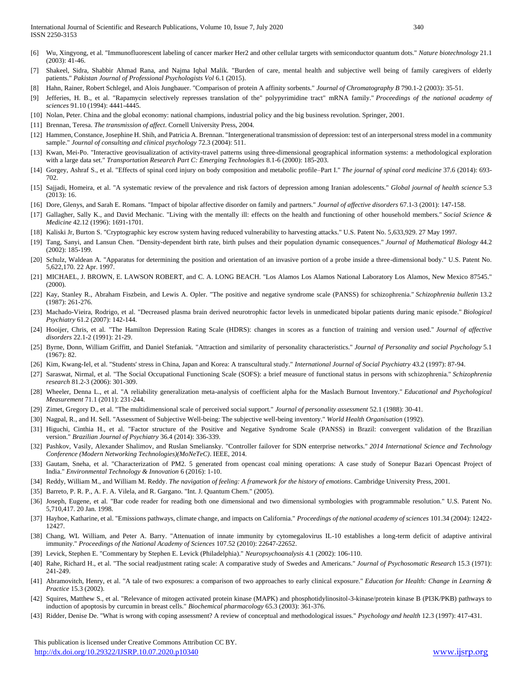- [7] Shakeel, Sidra, Shabbir Ahmad Rana, and Najma Iqbal Malik. "Burden of care, mental health and subjective well being of family caregivers of elderly patients." *Pakistan Journal of Professional Psychologists Vol* 6.1 (2015).
- [8] Hahn, Rainer, Robert Schlegel, and Alois Jungbauer. "Comparison of protein A affinity sorbents." *Journal of Chromatography B* 790.1-2 (2003): 35-51.
- [9] Jefferies, H. B., et al. "Rapamycin selectively represses translation of the" polypyrimidine tract" mRNA family." *Proceedings of the national academy of sciences* 91.10 (1994): 4441-4445.
- [10] Nolan, Peter. China and the global economy: national champions, industrial policy and the big business revolution. Springer, 2001.
- [11] Brennan, Teresa. *The transmission of affect*. Cornell University Press, 2004.
- [12] Hammen, Constance, Josephine H. Shih, and Patricia A. Brennan. "Intergenerational transmission of depression: test of an interpersonal stress model in a community sample." *Journal of consulting and clinical psychology* 72.3 (2004): 511.
- [13] Kwan, Mei-Po. "Interactive geovisualization of activity-travel patterns using three-dimensional geographical information systems: a methodological exploration with a large data set." *Transportation Research Part C: Emerging Technologies* 8.1-6 (2000): 185-203.
- [14] Gorgey, Ashraf S., et al. "Effects of spinal cord injury on body composition and metabolic profile–Part I." *The journal of spinal cord medicine* 37.6 (2014): 693- 702.
- [15] Sajjadi, Homeira, et al. "A systematic review of the prevalence and risk factors of depression among Iranian adolescents." *Global journal of health science* 5.3 (2013): 16.
- [16] Dore, Glenys, and Sarah E. Romans. "Impact of bipolar affective disorder on family and partners." *Journal of affective disorders* 67.1-3 (2001): 147-158.
- [17] Gallagher, Sally K., and David Mechanic. "Living with the mentally ill: effects on the health and functioning of other household members." *Social Science & Medicine* 42.12 (1996): 1691-1701.
- [18] Kaliski Jr, Burton S. "Cryptographic key escrow system having reduced vulnerability to harvesting attacks." U.S. Patent No. 5,633,929. 27 May 1997.
- [19] Tang, Sanyi, and Lansun Chen. "Density-dependent birth rate, birth pulses and their population dynamic consequences." *Journal of Mathematical Biology* 44.2 (2002): 185-199.
- [20] Schulz, Waldean A. "Apparatus for determining the position and orientation of an invasive portion of a probe inside a three-dimensional body." U.S. Patent No. 5,622,170. 22 Apr. 1997.
- [21] MICHAEL, J. BROWN, E. LAWSON ROBERT, and C. A. LONG BEACH. "Los Alamos Los Alamos National Laboratory Los Alamos, New Mexico 87545." (2000).
- [22] Kay, Stanley R., Abraham Fiszbein, and Lewis A. Opler. "The positive and negative syndrome scale (PANSS) for schizophrenia." *Schizophrenia bulletin* 13.2 (1987): 261-276.
- [23] Machado-Vieira, Rodrigo, et al. "Decreased plasma brain derived neurotrophic factor levels in unmedicated bipolar patients during manic episode." *Biological Psychiatry* 61.2 (2007): 142-144.
- [24] Hooijer, Chris, et al. "The Hamilton Depression Rating Scale (HDRS): changes in scores as a function of training and version used." *Journal of affective disorders* 22.1-2 (1991): 21-29.
- [25] Byrne, Donn, William Griffitt, and Daniel Stefaniak. "Attraction and similarity of personality characteristics." *Journal of Personality and social Psychology* 5.1 (1967): 82.
- [26] Kim, Kwang-Iel, et al. "Students' stress in China, Japan and Korea: A transcultural study." *International Journal of Social Psychiatry* 43.2 (1997): 87-94.
- [27] Saraswat, Nirmal, et al. "The Social Occupational Functioning Scale (SOFS): a brief measure of functional status in persons with schizophrenia." *Schizophrenia research* 81.2-3 (2006): 301-309.
- [28] Wheeler, Denna L., et al. "A reliability generalization meta-analysis of coefficient alpha for the Maslach Burnout Inventory." *Educational and Psychological Measurement* 71.1 (2011): 231-244.
- [29] Zimet, Gregory D., et al. "The multidimensional scale of perceived social support." *Journal of personality assessment* 52.1 (1988): 30-41.
- [30] Nagpal, R., and H. Sell. "Assessment of Subjective Well-being: The subjective well-being inventory." *World Health Organisation* (1992).
- [31] Higuchi, Cinthia H., et al. "Factor structure of the Positive and Negative Syndrome Scale (PANSS) in Brazil: convergent validation of the Brazilian version." *Brazilian Journal of Psychiatry* 36.4 (2014): 336-339.
- [32] Pashkov, Vasily, Alexander Shalimov, and Ruslan Smeliansky. "Controller failover for SDN enterprise networks." *2014 International Science and Technology Conference (Modern Networking Technologies)(MoNeTeC)*. IEEE, 2014.
- [33] Gautam, Sneha, et al. "Characterization of PM2. 5 generated from opencast coal mining operations: A case study of Sonepur Bazari Opencast Project of India." *Environmental Technology & Innovation* 6 (2016): 1-10.
- [34] Reddy, William M., and William M. Reddy. *The navigation of feeling: A framework for the history of emotions*. Cambridge University Press, 2001.
- [35] Barreto, P. R. P., A. F. A. Vilela, and R. Gargano. "Int. J. Quantum Chem." (2005).
- [36] Joseph, Eugene, et al. "Bar code reader for reading both one dimensional and two dimensional symbologies with programmable resolution." U.S. Patent No. 5,710,417. 20 Jan. 1998.
- [37] Hayhoe, Katharine, et al. "Emissions pathways, climate change, and impacts on California." *Proceedings of the national academy of sciences* 101.34 (2004): 12422- 12427.
- [38] Chang, WL William, and Peter A. Barry. "Attenuation of innate immunity by cytomegalovirus IL-10 establishes a long-term deficit of adaptive antiviral immunity." *Proceedings of the National Academy of Sciences* 107.52 (2010): 22647-22652.
- [39] Levick, Stephen E. "Commentary by Stephen E. Levick (Philadelphia)." *Neuropsychoanalysis* 4.1 (2002): 106-110.
- [40] Rahe, Richard H., et al. "The social readjustment rating scale: A comparative study of Swedes and Americans." *Journal of Psychosomatic Research* 15.3 (1971): 241-249.
- [41] Abramovitch, Henry, et al. "A tale of two exposures: a comparison of two approaches to early clinical exposure." *Education for Health: Change in Learning & Practice* 15.3 (2002).
- [42] Squires, Matthew S., et al. "Relevance of mitogen activated protein kinase (MAPK) and phosphotidylinositol-3-kinase/protein kinase B (PI3K/PKB) pathways to induction of apoptosis by curcumin in breast cells." *Biochemical pharmacology* 65.3 (2003): 361-376.
- [43] Ridder, Denise De. "What is wrong with coping assessment? A review of conceptual and methodological issues." *Psychology and health* 12.3 (1997): 417-431.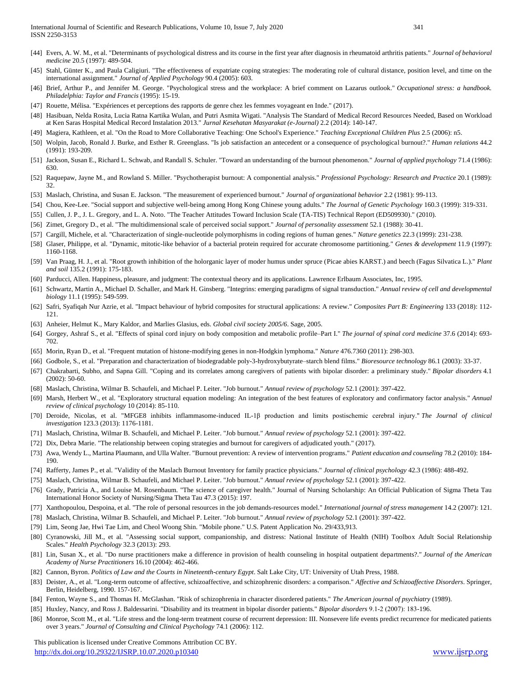- [44] Evers, A. W. M., et al. "Determinants of psychological distress and its course in the first year after diagnosis in rheumatoid arthritis patients." *Journal of behavioral medicine* 20.5 (1997): 489-504.
- [45] Stahl, Günter K., and Paula Caligiuri. "The effectiveness of expatriate coping strategies: The moderating role of cultural distance, position level, and time on the international assignment." *Journal of Applied Psychology* 90.4 (2005): 603.
- [46] Brief, Arthur P., and Jennifer M. George. "Psychological stress and the workplace: A brief comment on Lazarus outlook." *Occupational stress: a handbook. Philadelphia: Taylor and Francis* (1995): 15-19.
- [47] Rouette, Mélisa. "Expériences et perceptions des rapports de genre chez les femmes voyageant en Inde." (2017).
- [48] Hasibuan, Nelda Rosita, Lucia Ratna Kartika Wulan, and Putri Asmita Wigati. "Analysis The Standard of Medical Record Resources Needed, Based on Workload at Ken Saras Hospital Medical Record Instalation 2013." *Jurnal Kesehatan Masyarakat (e-Journal)* 2.2 (2014): 140-147.
- [49] Magiera, Kathleen, et al. "On the Road to More Collaborative Teaching: One School's Experience." *Teaching Exceptional Children Plus* 2.5 (2006): n5.
- [50] Wolpin, Jacob, Ronald J. Burke, and Esther R. Greenglass. "Is job satisfaction an antecedent or a consequence of psychological burnout?." *Human relations* 44.2 (1991): 193-209.
- [51] Jackson, Susan E., Richard L. Schwab, and Randall S. Schuler. "Toward an understanding of the burnout phenomenon." *Journal of applied psychology* 71.4 (1986): 630.
- [52] Raquepaw, Jayne M., and Rowland S. Miller. "Psychotherapist burnout: A componential analysis." *Professional Psychology: Research and Practice* 20.1 (1989): 32.
- [53] Maslach, Christina, and Susan E. Jackson. "The measurement of experienced burnout." *Journal of organizational behavior* 2.2 (1981): 99-113.
- [54] Chou, Kee-Lee. "Social support and subjective well-being among Hong Kong Chinese young adults." *The Journal of Genetic Psychology* 160.3 (1999): 319-331.
- [55] Cullen, J. P., J. L. Gregory, and L. A. Noto. "The Teacher Attitudes Toward Inclusion Scale (TA-TIS) Technical Report (ED509930)." (2010).
- [56] Zimet, Gregory D., et al. "The multidimensional scale of perceived social support." *Journal of personality assessment* 52.1 (1988): 30-41.
- [57] Cargill, Michele, et al. "Characterization of single-nucleotide polymorphisms in coding regions of human genes." *Nature genetics* 22.3 (1999): 231-238.
- [58] Glaser, Philippe, et al. "Dynamic, mitotic-like behavior of a bacterial protein required for accurate chromosome partitioning." *Genes & development* 11.9 (1997): 1160-1168.
- [59] Van Praag, H. J., et al. "Root growth inhibition of the holorganic layer of moder humus under spruce (Picae abies KARST.) and beech (Fagus Silvatica L.)." *Plant and soil* 135.2 (1991): 175-183.
- [60] Parducci, Allen. Happiness, pleasure, and judgment: The contextual theory and its applications. Lawrence Erlbaum Associates, Inc, 1995.
- [61] Schwartz, Martin A., Michael D. Schaller, and Mark H. Ginsberg. "Integrins: emerging paradigms of signal transduction." *Annual review of cell and developmental biology* 11.1 (1995): 549-599.
- [62] Safri, Syafiqah Nur Azrie, et al. "Impact behaviour of hybrid composites for structural applications: A review." *Composites Part B: Engineering* 133 (2018): 112- 121.
- [63] Anheier, Helmut K., Mary Kaldor, and Marlies Glasius, eds. *Global civil society 2005/6*. Sage, 2005.
- [64] Gorgey, Ashraf S., et al. "Effects of spinal cord injury on body composition and metabolic profile–Part I." *The journal of spinal cord medicine* 37.6 (2014): 693- 702.
- [65] Morin, Ryan D., et al. "Frequent mutation of histone-modifying genes in non-Hodgkin lymphoma." *Nature* 476.7360 (2011): 298-303.
- [66] Godbole, S., et al. "Preparation and characterization of biodegradable poly-3-hydroxybutyrate–starch blend films." *Bioresource technology* 86.1 (2003): 33-37.
- [67] Chakrabarti, Subho, and Sapna Gill. "Coping and its correlates among caregivers of patients with bipolar disorder: a preliminary study." *Bipolar disorders* 4.1 (2002): 50-60.
- [68] Maslach, Christina, Wilmar B. Schaufeli, and Michael P. Leiter. "Job burnout." *Annual review of psychology* 52.1 (2001): 397-422.
- [69] Marsh, Herbert W., et al. "Exploratory structural equation modeling: An integration of the best features of exploratory and confirmatory factor analysis." *Annual review of clinical psychology* 10 (2014): 85-110.
- [70] Deroide, Nicolas, et al. "MFGE8 inhibits inflammasome-induced IL-1β production and limits postischemic cerebral injury." *The Journal of clinical investigation* 123.3 (2013): 1176-1181.
- [71] Maslach, Christina, Wilmar B. Schaufeli, and Michael P. Leiter. "Job burnout." *Annual review of psychology* 52.1 (2001): 397-422.
- [72] Dix, Debra Marie. "The relationship between coping strategies and burnout for caregivers of adjudicated youth." (2017).
- [73] Awa, Wendy L., Martina Plaumann, and Ulla Walter. "Burnout prevention: A review of intervention programs." *Patient education and counseling* 78.2 (2010): 184- 190.
- [74] Rafferty, James P., et al. "Validity of the Maslach Burnout Inventory for family practice physicians." *Journal of clinical psychology* 42.3 (1986): 488-492.
- [75] Maslach, Christina, Wilmar B. Schaufeli, and Michael P. Leiter. "Job burnout." *Annual review of psychology* 52.1 (2001): 397-422.
- [76] Grady, Patricia A., and Louise M. Rosenbaum. "The science of caregiver health." Journal of Nursing Scholarship: An Official Publication of Sigma Theta Tau International Honor Society of Nursing/Sigma Theta Tau 47.3 (2015): 197.
- [77] Xanthopoulou, Despoina, et al. "The role of personal resources in the job demands-resources model." *International journal of stress management* 14.2 (2007): 121.
- [78] Maslach, Christina, Wilmar B. Schaufeli, and Michael P. Leiter. "Job burnout." *Annual review of psychology* 52.1 (2001): 397-422.
- [79] Lim, Seong Jae, Hwi Tae Lim, and Cheol Woong Shin. "Mobile phone." U.S. Patent Application No. 29/433,913.
- [80] Cyranowski, Jill M., et al. "Assessing social support, companionship, and distress: National Institute of Health (NIH) Toolbox Adult Social Relationship Scales." *Health Psychology* 32.3 (2013): 293.
- [81] Lin, Susan X., et al. "Do nurse practitioners make a difference in provision of health counseling in hospital outpatient departments?." *Journal of the American Academy of Nurse Practitioners* 16.10 (2004): 462-466.
- [82] Cannon, Byron. *Politics of Law and the Courts in Nineteenth-century Egypt*. Salt Lake City, UT: University of Utah Press, 1988.
- [83] Deister, A., et al. "Long-term outcome of affective, schizoaffective, and schizophrenic disorders: a comparison." *Affective and Schizoaffective Disorders*. Springer, Berlin, Heidelberg, 1990. 157-167.
- [84] Fenton, Wayne S., and Thomas H. McGlashan. "Risk of schizophrenia in character disordered patients." *The American journal of psychiatry* (1989).
- [85] Huxley, Nancy, and Ross J. Baldessarini. "Disability and its treatment in bipolar disorder patients." *Bipolar disorders* 9.1‐2 (2007): 183-196.
- [86] Monroe, Scott M., et al. "Life stress and the long-term treatment course of recurrent depression: III. Nonsevere life events predict recurrence for medicated patients over 3 years." *Journal of Consulting and Clinical Psychology* 74.1 (2006): 112.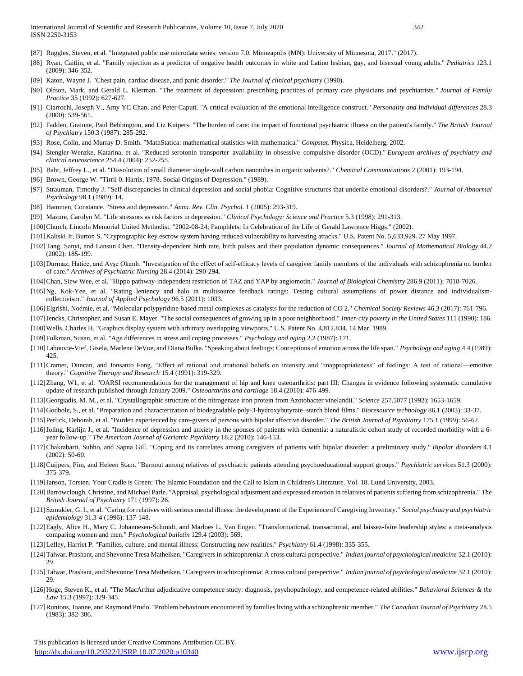- [87] Ruggles, Steven, et al. "Integrated public use microdata series: version 7.0. Minneapolis (MN): University of Minnesota, 2017." (2017).
- [88] Ryan, Caitlin, et al. "Family rejection as a predictor of negative health outcomes in white and Latino lesbian, gay, and bisexual young adults." *Pediatrics* 123.1 (2009): 346-352.
- [89] Katon, Wayne J. "Chest pain, cardiac disease, and panic disorder." *The Journal of clinical psychiatry* (1990).
- [90] Olfson, Mark, and Gerald L. Klerman. "The treatment of depression: prescribing practices of primary care physicians and psychiatrists." *Journal of Family Practice* 35 (1992): 627-627.
- [91] Ciarrochi, Joseph V., Amy YC Chan, and Peter Caputi. "A critical evaluation of the emotional intelligence construct." *Personality and Individual differences* 28.3 (2000): 539-561.
- [92] Fadden, Grainne, Paul Bebbington, and Liz Kuipers. "The burden of care: the impact of functional psychiatric illness on the patient's family." *The British Journal of Psychiatry* 150.3 (1987): 285-292.
- [93] Rose, Colin, and Murray D. Smith. "MathStatica: mathematical statistics with mathematica." *Compstat*. Physica, Heidelberg, 2002.
- [94] Stengler-Wenzke, Katarina, et al. "Reduced serotonin transporter–availability in obsessive–compulsive disorder (OCD)." *European archives of psychiatry and clinical neuroscience* 254.4 (2004): 252-255.
- [95] Bahr, Jeffrey L., et al. "Dissolution of small diameter single-wall carbon nanotubes in organic solvents?." *Chemical Communications* 2 (2001): 193-194.
- [96] Brown, George W. "Tirril 0. Harris. 1978. Social Origins of Depression." (1989).
- [97] Strauman, Timothy J. "Self-discrepancies in clinical depression and social phobia: Cognitive structures that underlie emotional disorders?." *Journal of Abnormal Psychology* 98.1 (1989): 14.
- [98] Hammen, Constance. "Stress and depression." *Annu. Rev. Clin. Psychol.* 1 (2005): 293-319.
- [99] Mazure, Carolyn M. "Life stressors as risk factors in depression." *Clinical Psychology: Science and Practice* 5.3 (1998): 291-313.
- [100]Church, Lincoln Memorial United Methodist. "2002-08-24; Pamphlets; In Celebration of the Life of Gerald Lawrence Higgs." (2002).
- [101]Kaliski Jr, Burton S. "Cryptographic key escrow system having reduced vulnerability to harvesting attacks." U.S. Patent No. 5,633,929. 27 May 1997.
- [102]Tang, Sanyi, and Lansun Chen. "Density-dependent birth rate, birth pulses and their population dynamic consequences." *Journal of Mathematical Biology* 44.2 (2002): 185-199.
- [103]Durmaz, Hatice, and Ayşe Okanlı. "Investigation of the effect of self-efficacy levels of caregiver family members of the individuals with schizophrenia on burden of care." *Archives of Psychiatric Nursing* 28.4 (2014): 290-294.
- [104]Chan, Siew Wee, et al. "Hippo pathway-independent restriction of TAZ and YAP by angiomotin." *Journal of Biological Chemistry* 286.9 (2011): 7018-7026.
- [105]Ng, Kok-Yee, et al. "Rating leniency and halo in multisource feedback ratings: Testing cultural assumptions of power distance and individualismcollectivism." *Journal of Applied Psychology* 96.5 (2011): 1033.
- [106]Elgrishi, Noémie, et al. "Molecular polypyridine-based metal complexes as catalysts for the reduction of CO 2." *Chemical Society Reviews* 46.3 (2017): 761-796.
- [107]Jencks, Christopher, and Susan E. Mayer. "The social consequences of growing up in a poor neighborhood." *Inner-city poverty in the United States* 111 (1990): 186. [108]Wells, Charles H. "Graphics display system with arbitrary overlapping viewports." U.S. Patent No. 4,812,834. 14 Mar. 1989.
- [109]Folkman, Susan, et al. "Age differences in stress and coping processes." *Psychology and aging* 2.2 (1987): 171.
- [110]Labouvie-Vief, Gisela, Marlene DeVoe, and Diana Bulka. "Speaking about feelings: Conceptions of emotion across the life span." *Psychology and aging* 4.4 (1989): 425.
- [111]Cramer, Duncan, and Jonsanto Fong. "Effect of rational and irrational beliefs on intensity and "inappropriateness" of feelings: A test of rational—emotive theory." *Cognitive Therapy and Research* 15.4 (1991): 319-329.
- [112]Zhang, W1, et al. "OARSI recommendations for the management of hip and knee osteoarthritis: part III: Changes in evidence following systematic cumulative update of research published through January 2009." *Osteoarthritis and cartilage* 18.4 (2010): 476-499.
- [113]Georgiadis, M. M., et al. "Crystallographic structure of the nitrogenase iron protein from Azotobacter vinelandii." *Science* 257.5077 (1992): 1653-1659.
- [114]Godbole, S., et al. "Preparation and characterization of biodegradable poly-3-hydroxybutyrate–starch blend films." *Bioresource technology* 86.1 (2003): 33-37.
- [115]Perlick, Deborah, et al. "Burden experienced by care-givers of persons with bipolar affective disorder." *The British Journal of Psychiatry* 175.1 (1999): 56-62.
- [116]Joling, Karlijn J., et al. "Incidence of depression and anxiety in the spouses of patients with dementia: a naturalistic cohort study of recorded morbidity with a 6 year follow-up." *The American Journal of Geriatric Psychiatry* 18.2 (2010): 146-153.
- [117]Chakrabarti, Subho, and Sapna Gill. "Coping and its correlates among caregivers of patients with bipolar disorder: a preliminary study." *Bipolar disorders* 4.1 (2002): 50-60.
- [118]Cuijpers, Pim, and Heleen Stam. "Burnout among relatives of psychiatric patients attending psychoeducational support groups." *Psychiatric services* 51.3 (2000): 375-379.
- [119]Janson, Torsten. Your Cradle is Green: The Islamic Foundation and the Call to Islam in Children's Literature. Vol. 18. Lund University, 2003.
- [120]Barrowclough, Christine, and Michael Parle. "Appraisal, psychological adjustment and expressed emotion in relatives of patients suffering from schizophrenia." *The British Journal of Psychiatry* 171 (1997): 26.
- [121]Szmukler, G. I., et al. "Caring for relatives with serious mental illness: the development of the Experience of Caregiving Inventory." *Social psychiatry and psychiatric epidemiology* 31.3-4 (1996): 137-148.
- [122]Eagly, Alice H., Mary C. Johannesen-Schmidt, and Marloes L. Van Engen. "Transformational, transactional, and laissez-faire leadership styles: a meta-analysis comparing women and men." *Psychological bulletin* 129.4 (2003): 569.
- [123]Lefley, Harriet P. "Families, culture, and mental illness: Constructing new realities." *Psychiatry* 61.4 (1998): 335-355.
- [124]Talwar, Prashant, and Shevonne Tresa Matheiken. "Caregivers in schizophrenia: A cross cultural perspective." *Indian journal of psychological medicine* 32.1 (2010): 29.
- [125]Talwar, Prashant, and Shevonne Tresa Matheiken. "Caregivers in schizophrenia: A cross cultural perspective." *Indian journal of psychological medicine* 32.1 (2010): 29.
- [126]Hoge, Steven K., et al. "The MacArthur adjudicative competence study: diagnosis, psychopathology, and competence‐related abilities." *Behavioral Sciences & the Law* 15.3 (1997): 329-345.
- [127]Runions, Joanne, and Raymond Prudo. "Problem behaviours encountered by families living with a schizophrenic member." *The Canadian Journal of Psychiatry* 28.5 (1983): 382-386.